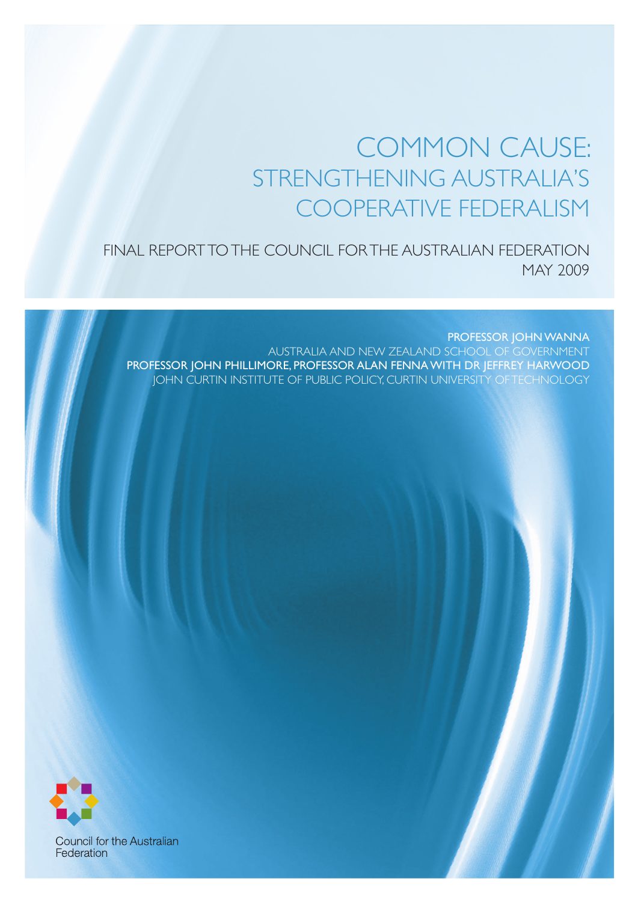## COMMON CAUSE: STRENGTHENING AUSTRALIA'S COOPERATIVE FEDERALISM

FINAL REPORT TO THE COUNCIL FOR THE AUSTRALIAN FEDERATION MAY 2009

PROFESSOR JOHN WANNA AUSTRALIA AND NEW ZEALAND SCHOOL OF GOVERNMENT PROFESSOR JOHN PHILLIMORE, PROFESSOR ALAN FENNA WITH DR JEFFREY HARWOOD JOHN CURTIN INSTITUTE OF PUBLIC POLICY, CURTIN UNIVERSITY OF TECHNOLOGY



**Council for the Australian** Federation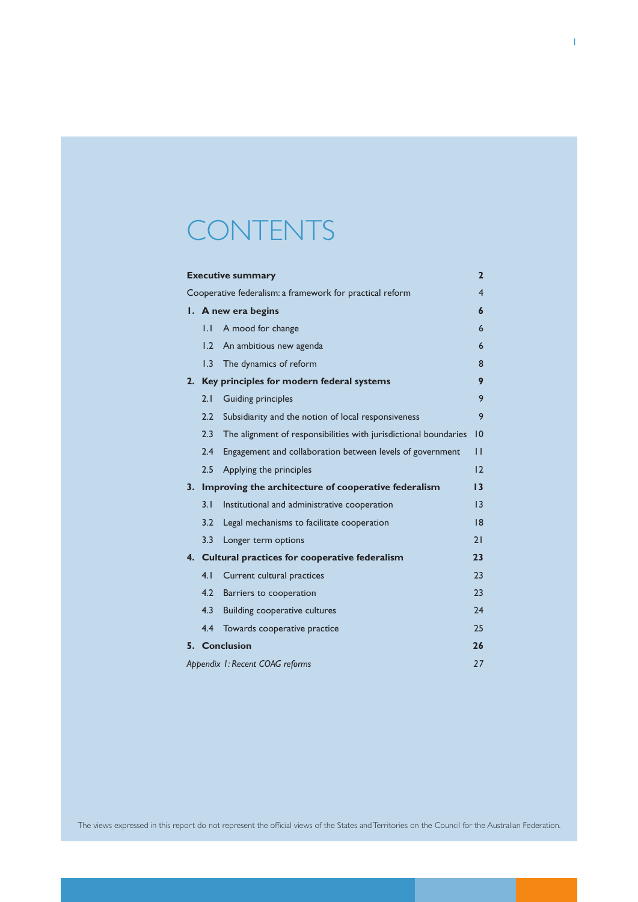# **CONTENTS**

| <b>Executive summary</b><br>$\mathbf{2}$                                   |              |                                                                  |                 |  |  |
|----------------------------------------------------------------------------|--------------|------------------------------------------------------------------|-----------------|--|--|
| $\overline{4}$<br>Cooperative federalism: a framework for practical reform |              |                                                                  |                 |  |  |
|                                                                            |              | I. A new era begins                                              | 6               |  |  |
|                                                                            | $\mathsf{L}$ | A mood for change                                                | 6               |  |  |
|                                                                            | 1.2          | An ambitious new agenda                                          | 6               |  |  |
|                                                                            | 1.3          | The dynamics of reform                                           | 8               |  |  |
|                                                                            |              | 2. Key principles for modern federal systems                     | 9               |  |  |
|                                                                            | 2.1          | <b>Guiding principles</b>                                        | 9               |  |  |
|                                                                            | 2.2          | Subsidiarity and the notion of local responsiveness              | 9               |  |  |
|                                                                            | 2.3          | The alignment of responsibilities with jurisdictional boundaries | 10              |  |  |
|                                                                            | 2.4          | Engagement and collaboration between levels of government        | П               |  |  |
|                                                                            | 2.5          | Applying the principles                                          | 12              |  |  |
| 3.                                                                         |              | Improving the architecture of cooperative federalism             | 13              |  |  |
|                                                                            | 3.1          | Institutional and administrative cooperation                     | $\overline{13}$ |  |  |
|                                                                            | 3.2          | Legal mechanisms to facilitate cooperation                       | 8               |  |  |
|                                                                            | 3.3          | Longer term options                                              | 21              |  |  |
|                                                                            |              | 4. Cultural practices for cooperative federalism                 | 23              |  |  |
|                                                                            | 4.1          | Current cultural practices                                       | 23              |  |  |
|                                                                            | 4.2          | Barriers to cooperation                                          | 23              |  |  |
|                                                                            | 4.3          | Building cooperative cultures                                    | 24              |  |  |
|                                                                            | 4.4          | Towards cooperative practice                                     | 25              |  |  |
|                                                                            |              | 5. Conclusion                                                    | 26              |  |  |
|                                                                            |              | Appendix 1: Recent COAG reforms                                  | 27              |  |  |

The views expressed in this report do not represent the official views of the States and Territories on the Council for the Australian Federation.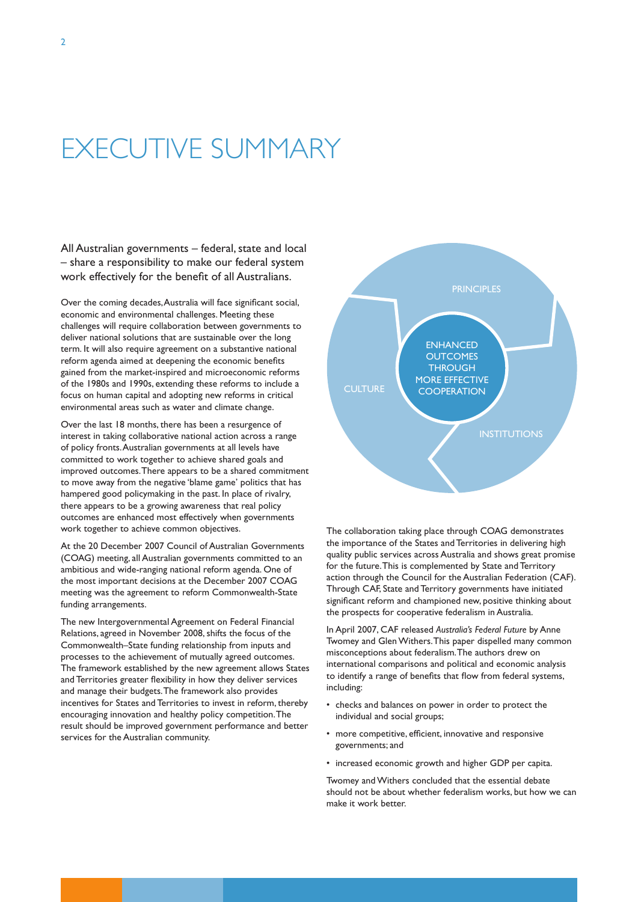# EXECUTIVE SUMMARY

All Australian governments – federal, state and local – share a responsibility to make our federal system work effectively for the benefit of all Australians.

Over the coming decades, Australia will face significant social, economic and environmental challenges. Meeting these challenges will require collaboration between governments to deliver national solutions that are sustainable over the long term. It will also require agreement on a substantive national reform agenda aimed at deepening the economic benefits gained from the market-inspired and microeconomic reforms of the 1980s and 1990s, extending these reforms to include a focus on human capital and adopting new reforms in critical environmental areas such as water and climate change.

Over the last 18 months, there has been a resurgence of interest in taking collaborative national action across a range of policy fronts. Australian governments at all levels have committed to work together to achieve shared goals and improved outcomes. There appears to be a shared commitment to move away from the negative 'blame game' politics that has hampered good policymaking in the past. In place of rivalry, there appears to be a growing awareness that real policy outcomes are enhanced most effectively when governments work together to achieve common objectives.

At the 20 December 2007 Council of Australian Governments (COAG) meeting, all Australian governments committed to an ambitious and wide-ranging national reform agenda. One of the most important decisions at the December 2007 COAG meeting was the agreement to reform Commonwealth-State funding arrangements.

The new Intergovernmental Agreement on Federal Financial Relations, agreed in November 2008, shifts the focus of the Commonwealth–State funding relationship from inputs and processes to the achievement of mutually agreed outcomes. The framework established by the new agreement allows States and Territories greater flexibility in how they deliver services and manage their budgets. The framework also provides incentives for States and Territories to invest in reform, thereby encouraging innovation and healthy policy competition. The result should be improved government performance and better services for the Australian community.



The collaboration taking place through COAG demonstrates the importance of the States and Territories in delivering high quality public services across Australia and shows great promise for the future. This is complemented by State and Territory action through the Council for the Australian Federation (CAF). Through CAF, State and Territory governments have initiated significant reform and championed new, positive thinking about the prospects for cooperative federalism in Australia.

In April 2007, CAF released *Australia's Federal Future* by Anne Twomey and Glen Withers. This paper dispelled many common misconceptions about federalism. The authors drew on international comparisons and political and economic analysis to identify a range of benefits that flow from federal systems, including:

- • checks and balances on power in order to protect the individual and social groups;
- more competitive, efficient, innovative and responsive governments; and
- increased economic growth and higher GDP per capita.

Twomey and Withers concluded that the essential debate should not be about whether federalism works, but how we can make it work better.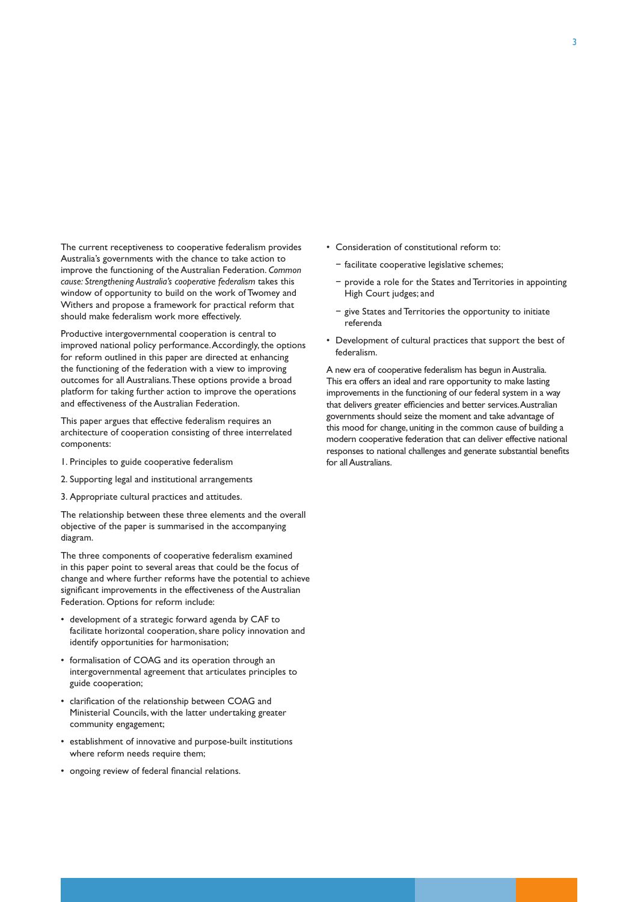The current receptiveness to cooperative federalism provides Australia's governments with the chance to take action to improve the functioning of the Australian Federation. *Common cause: Strengthening Australia's cooperative federalism* takes this window of opportunity to build on the work of Twomey and Withers and propose a framework for practical reform that should make federalism work more effectively.

Productive intergovernmental cooperation is central to improved national policy performance. Accordingly, the options for reform outlined in this paper are directed at enhancing the functioning of the federation with a view to improving outcomes for all Australians. These options provide a broad platform for taking further action to improve the operations and effectiveness of the Australian Federation.

This paper argues that effective federalism requires an architecture of cooperation consisting of three interrelated components:

- 1. Principles to guide cooperative federalism
- 2. Supporting legal and institutional arrangements
- 3. Appropriate cultural practices and attitudes.

The relationship between these three elements and the overall objective of the paper is summarised in the accompanying diagram.

The three components of cooperative federalism examined in this paper point to several areas that could be the focus of change and where further reforms have the potential to achieve significant improvements in the effectiveness of the Australian Federation. Options for reform include:

- • development of a strategic forward agenda by CAF to facilitate horizontal cooperation, share policy innovation and identify opportunities for harmonisation;
- formalisation of COAG and its operation through an intergovernmental agreement that articulates principles to guide cooperation;
- • clarification of the relationship between COAG and Ministerial Councils, with the latter undertaking greater community engagement;
- • establishment of innovative and purpose-built institutions where reform needs require them;
- • ongoing review of federal financial relations.
- • Consideration of constitutional reform to:
	- − facilitate cooperative legislative schemes;
	- − provide a role for the States and Territories in appointing High Court judges; and
	- − give States and Territories the opportunity to initiate referenda
- Development of cultural practices that support the best of federalism.

A new era of cooperative federalism has begun in Australia. This era offers an ideal and rare opportunity to make lasting improvements in the functioning of our federal system in a way that delivers greater efficiencies and better services. Australian governments should seize the moment and take advantage of this mood for change, uniting in the common cause of building a modern cooperative federation that can deliver effective national responses to national challenges and generate substantial benefits for all Australians.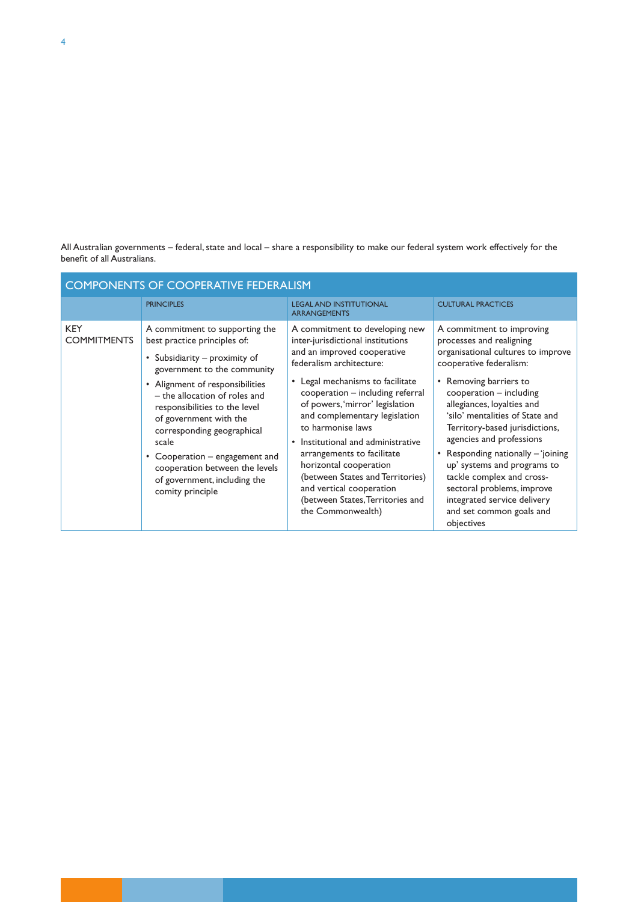All Australian governments – federal, state and local – share a responsibility to make our federal system work effectively for the benefit of all Australians.

| <b>COMPONENTS OF COOPERATIVE FEDERALISM</b> |                                                                                                                                                                                                                                                                                                                                                                                                                              |                                                                                                                                                                                                                                                                                                                                                                                                                                                                                                                      |                                                                                                                                                                                                                                                                                                                                                                                                                                                                                                                       |  |  |  |  |
|---------------------------------------------|------------------------------------------------------------------------------------------------------------------------------------------------------------------------------------------------------------------------------------------------------------------------------------------------------------------------------------------------------------------------------------------------------------------------------|----------------------------------------------------------------------------------------------------------------------------------------------------------------------------------------------------------------------------------------------------------------------------------------------------------------------------------------------------------------------------------------------------------------------------------------------------------------------------------------------------------------------|-----------------------------------------------------------------------------------------------------------------------------------------------------------------------------------------------------------------------------------------------------------------------------------------------------------------------------------------------------------------------------------------------------------------------------------------------------------------------------------------------------------------------|--|--|--|--|
|                                             | <b>PRINCIPLES</b>                                                                                                                                                                                                                                                                                                                                                                                                            | <b>LEGAL AND INSTITUTIONAL</b><br><b>ARRANGEMENTS</b>                                                                                                                                                                                                                                                                                                                                                                                                                                                                | <b>CULTURAL PRACTICES</b>                                                                                                                                                                                                                                                                                                                                                                                                                                                                                             |  |  |  |  |
| <b>KEY</b><br><b>COMMITMENTS</b>            | A commitment to supporting the<br>best practice principles of:<br>• Subsidiarity – proximity of<br>government to the community<br>• Alignment of responsibilities<br>- the allocation of roles and<br>responsibilities to the level<br>of government with the<br>corresponding geographical<br>scale<br>• Cooperation – engagement and<br>cooperation between the levels<br>of government, including the<br>comity principle | A commitment to developing new<br>inter-jurisdictional institutions<br>and an improved cooperative<br>federalism architecture:<br>• Legal mechanisms to facilitate<br>cooperation - including referral<br>of powers, 'mirror' legislation<br>and complementary legislation<br>to harmonise laws<br>Institutional and administrative<br>arrangements to facilitate<br>horizontal cooperation<br>(between States and Territories)<br>and vertical cooperation<br>(between States, Territories and<br>the Commonwealth) | A commitment to improving<br>processes and realigning<br>organisational cultures to improve<br>cooperative federalism:<br>• Removing barriers to<br>$cooperation - including$<br>allegiances, loyalties and<br>'silo' mentalities of State and<br>Territory-based jurisdictions,<br>agencies and professions<br>• Responding nationally – 'joining<br>up' systems and programs to<br>tackle complex and cross-<br>sectoral problems, improve<br>integrated service delivery<br>and set common goals and<br>objectives |  |  |  |  |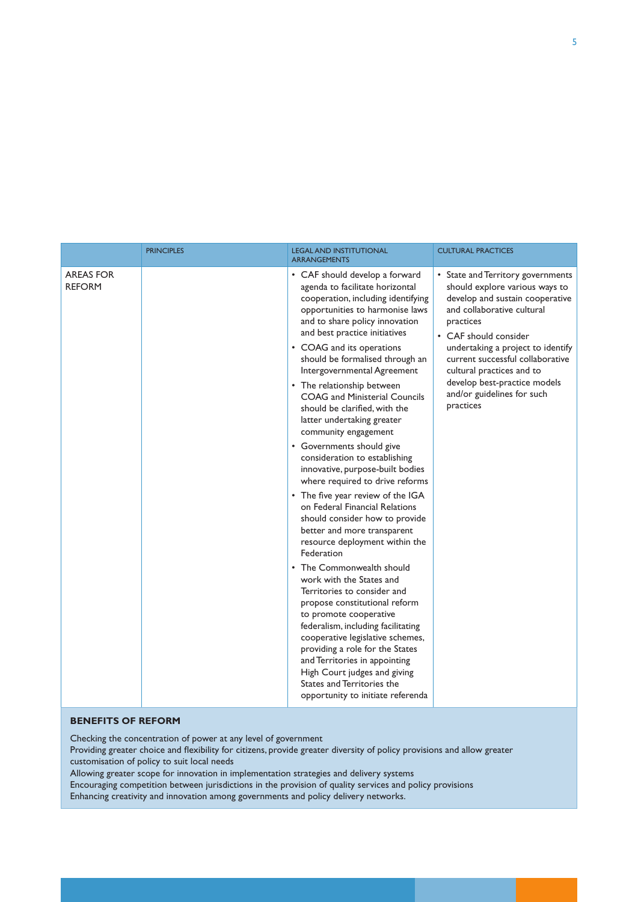|                                   | <b>PRINCIPLES</b> | <b>LEGAL AND INSTITUTIONAL</b><br><b>ARRANGEMENTS</b>                                                                                                                                                                                                                                                                                                                                                                                                                                                                                                                                                                                                                                                                                                                                                                                                                                                                                                                                                                                                                                                                                                                                                      | <b>CULTURAL PRACTICES</b>                                                                                                                                                                                                                                                                                                                                   |  |  |
|-----------------------------------|-------------------|------------------------------------------------------------------------------------------------------------------------------------------------------------------------------------------------------------------------------------------------------------------------------------------------------------------------------------------------------------------------------------------------------------------------------------------------------------------------------------------------------------------------------------------------------------------------------------------------------------------------------------------------------------------------------------------------------------------------------------------------------------------------------------------------------------------------------------------------------------------------------------------------------------------------------------------------------------------------------------------------------------------------------------------------------------------------------------------------------------------------------------------------------------------------------------------------------------|-------------------------------------------------------------------------------------------------------------------------------------------------------------------------------------------------------------------------------------------------------------------------------------------------------------------------------------------------------------|--|--|
| <b>AREAS FOR</b><br><b>REFORM</b> |                   | • CAF should develop a forward<br>agenda to facilitate horizontal<br>cooperation, including identifying<br>opportunities to harmonise laws<br>and to share policy innovation<br>and best practice initiatives<br>• COAG and its operations<br>should be formalised through an<br>Intergovernmental Agreement<br>• The relationship between<br><b>COAG</b> and Ministerial Councils<br>should be clarified, with the<br>latter undertaking greater<br>community engagement<br>• Governments should give<br>consideration to establishing<br>innovative, purpose-built bodies<br>where required to drive reforms<br>• The five year review of the IGA<br>on Federal Financial Relations<br>should consider how to provide<br>better and more transparent<br>resource deployment within the<br>Federation<br>• The Commonwealth should<br>work with the States and<br>Territories to consider and<br>propose constitutional reform<br>to promote cooperative<br>federalism, including facilitating<br>cooperative legislative schemes,<br>providing a role for the States<br>and Territories in appointing<br>High Court judges and giving<br>States and Territories the<br>opportunity to initiate referenda | • State and Territory governments<br>should explore various ways to<br>develop and sustain cooperative<br>and collaborative cultural<br>practices<br>• CAF should consider<br>undertaking a project to identify<br>current successful collaborative<br>cultural practices and to<br>develop best-practice models<br>and/or guidelines for such<br>practices |  |  |
|                                   |                   |                                                                                                                                                                                                                                                                                                                                                                                                                                                                                                                                                                                                                                                                                                                                                                                                                                                                                                                                                                                                                                                                                                                                                                                                            |                                                                                                                                                                                                                                                                                                                                                             |  |  |

#### **BENEFITS OF REFORM**

Checking the concentration of power at any level of government

Providing greater choice and flexibility for citizens, provide greater diversity of policy provisions and allow greater customisation of policy to suit local needs

Allowing greater scope for innovation in implementation strategies and delivery systems Encouraging competition between jurisdictions in the provision of quality services and policy provisions Enhancing creativity and innovation among governments and policy delivery networks.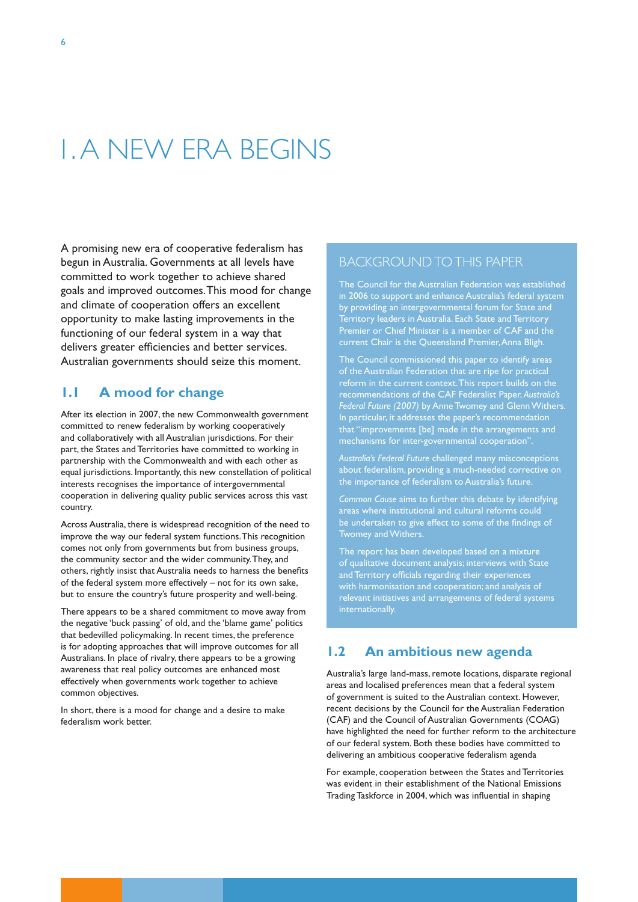# 1. A NEW ERA BEGINS

A promising new era of cooperative federalism has begun in Australia. Governments at all levels have committed to work together to achieve shared goals and improved outcomes. This mood for change and climate of cooperation offers an excellent opportunity to make lasting improvements in the functioning of our federal system in a way that delivers greater efficiencies and better services. Australian governments should seize this moment.

### **1.1 A mood for change**

After its election in 2007, the new Commonwealth government committed to renew federalism by working cooperatively and collaboratively with all Australian jurisdictions. For their part, the States and Territories have committed to working in partnership with the Commonwealth and with each other as equal jurisdictions. Importantly, this new constellation of political interests recognises the importance of intergovernmental cooperation in delivering quality public services across this vast country.

Across Australia, there is widespread recognition of the need to improve the way our federal system functions. This recognition comes not only from governments but from business groups, the community sector and the wider community. They, and others, rightly insist that Australia needs to harness the benefits of the federal system more effectively – not for its own sake, but to ensure the country's future prosperity and well-being.

There appears to be a shared commitment to move away from the negative 'buck passing' of old, and the 'blame game' politics that bedevilled policymaking. In recent times, the preference is for adopting approaches that will improve outcomes for all Australians. In place of rivalry, there appears to be a growing awareness that real policy outcomes are enhanced most effectively when governments work together to achieve common objectives.

In short, there is a mood for change and a desire to make federalism work better.

#### BACKGROUND TO THIS PAPER

The Council for the Australian Federation was established in 2006 to support and enhance Australia's federal system by providing an intergovernmental forum for State and Territory leaders in Australia. Each State and Territory Premier or Chief Minister is a member of CAF and the current Chair is the Queensland Premier, Anna Bligh.

The Council commissioned this paper to identify areas of the Australian Federation that are ripe for practical reform in the current context. This report builds on the recommendations of the CAF Federalist Paper, *Australia's Federal Future (2007)* by Anne Twomey and Glenn Withers. In particular, it addresses the paper's recommendation that "improvements [be] made in the arrangements and mechanisms for inter-governmental cooperation".

*Australia's Federal Future* challenged many misconceptions about federalism, providing a much-needed corrective on the importance of federalism to Australia's future.

*Common Cause* aims to further this debate by identifying areas where institutional and cultural reforms could be undertaken to give effect to some of the findings of Twomey and Withers.

The report has been developed based on a mixture of qualitative document analysis; interviews with State and Territory officials regarding their experiences with harmonisation and cooperation; and analysis of relevant initiatives and arrangements of federal systems internationally.

### **1.2 An ambitious new agenda**

Australia's large land-mass, remote locations, disparate regional areas and localised preferences mean that a federal system of government is suited to the Australian context. However, recent decisions by the Council for the Australian Federation (CAF) and the Council of Australian Governments (COAG) have highlighted the need for further reform to the architecture of our federal system. Both these bodies have committed to delivering an ambitious cooperative federalism agenda

For example, cooperation between the States and Territories was evident in their establishment of the National Emissions Trading Taskforce in 2004, which was influential in shaping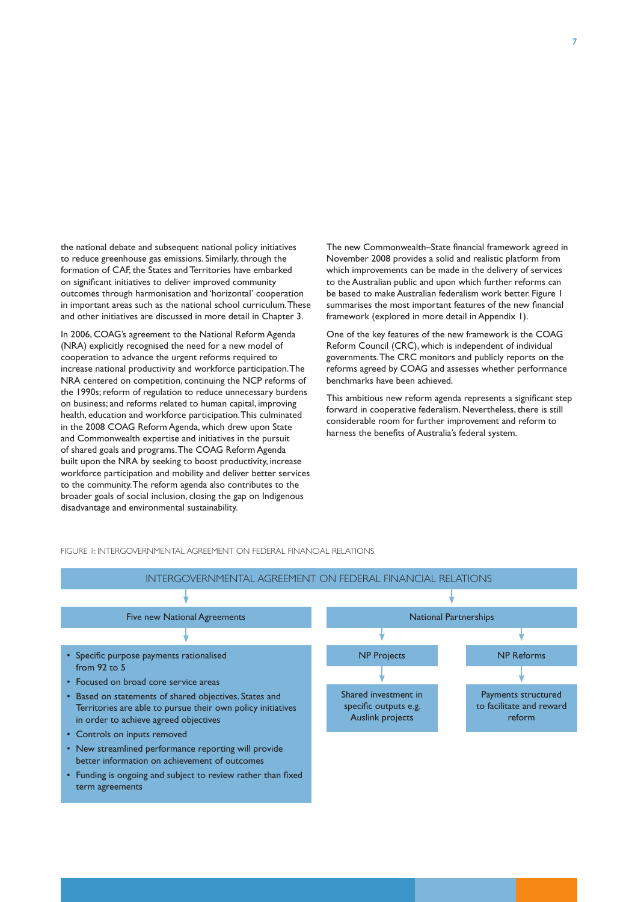the national debate and subsequent national policy initiatives to reduce greenhouse gas emissions. Similarly, through the formation of CAF, the States and Territories have embarked on significant initiatives to deliver improved community outcomes through harmonisation and 'horizontal' cooperation in important areas such as the national school curriculum. These and other initiatives are discussed in more detail in Chapter 3.

In 2006, COAG's agreement to the National Reform Agenda (NRA) explicitly recognised the need for a new model of cooperation to advance the urgent reforms required to increase national productivity and workforce participation. The NRA centered on competition, continuing the NCP reforms of the 1990s; reform of regulation to reduce unnecessary burdens on business; and reforms related to human capital, improving health, education and workforce participation. This culminated in the 2008 COAG Reform Agenda, which drew upon State and Commonwealth expertise and initiatives in the pursuit of shared goals and programs. The COAG Reform Agenda built upon the NRA by seeking to boost productivity, increase workforce participation and mobility and deliver better services to the community. The reform agenda also contributes to the broader goals of social inclusion, closing the gap on Indigenous disadvantage and environmental sustainability.

The new Commonwealth–State financial framework agreed in November 2008 provides a solid and realistic platform from which improvements can be made in the delivery of services to the Australian public and upon which further reforms can be based to make Australian federalism work better. Figure 1 summarises the most important features of the new financial framework (explored in more detail in Appendix 1).

One of the key features of the new framework is the COAG Reform Council (CRC), which is independent of individual governments. The CRC monitors and publicly reports on the reforms agreed by COAG and assesses whether performance benchmarks have been achieved.

This ambitious new reform agenda represents a significant step forward in cooperative federalism. Nevertheless, there is still considerable room for further improvement and reform to harness the benefits of Australia's federal system.

FIGURE 1: INTERGOVERNMENTAL AGREEMENT ON FEDERAL FINANCIAL RELATIONS



term agreements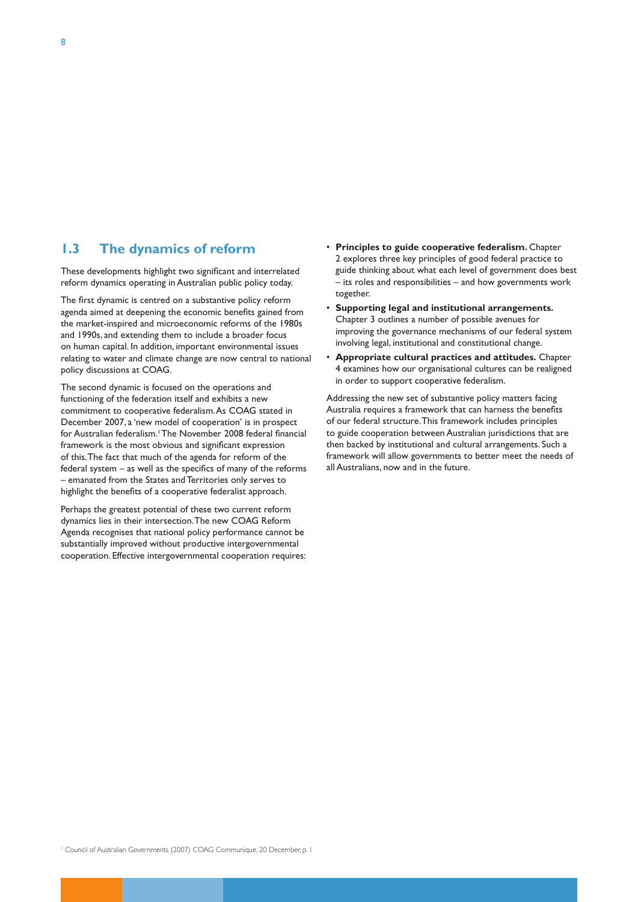#### **1.3 The dynamics of reform**

These developments highlight two significant and interrelated reform dynamics operating in Australian public policy today.

The first dynamic is centred on a substantive policy reform agenda aimed at deepening the economic benefits gained from the market-inspired and microeconomic reforms of the 1980s and 1990s, and extending them to include a broader focus on human capital. In addition, important environmental issues relating to water and climate change are now central to national policy discussions at COAG.

The second dynamic is focused on the operations and functioning of the federation itself and exhibits a new commitment to cooperative federalism. As COAG stated in December 2007, a 'new model of cooperation' is in prospect for Australian federalism.<sup>1</sup> The November 2008 federal financial framework is the most obvious and significant expression of this. The fact that much of the agenda for reform of the federal system – as well as the specifics of many of the reforms – emanated from the States and Territories only serves to highlight the benefits of a cooperative federalist approach.

Perhaps the greatest potential of these two current reform dynamics lies in their intersection. The new COAG Reform Agenda recognises that national policy performance cannot be substantially improved without productive intergovernmental cooperation. Effective intergovernmental cooperation requires:

- • **Principles to guide cooperative federalism.** Chapter 2 explores three key principles of good federal practice to guide thinking about what each level of government does best – its roles and responsibilities – and how governments work together.
- Supporting legal and institutional arrangements. Chapter 3 outlines a number of possible avenues for improving the governance mechanisms of our federal system involving legal, institutional and constitutional change.
- **Appropriate cultural practices and attitudes.** Chapter 4 examines how our organisational cultures can be realigned in order to support cooperative federalism.

Addressing the new set of substantive policy matters facing Australia requires a framework that can harness the benefits of our federal structure. This framework includes principles to guide cooperation between Australian jurisdictions that are then backed by institutional and cultural arrangements. Such a framework will allow governments to better meet the needs of all Australians, now and in the future.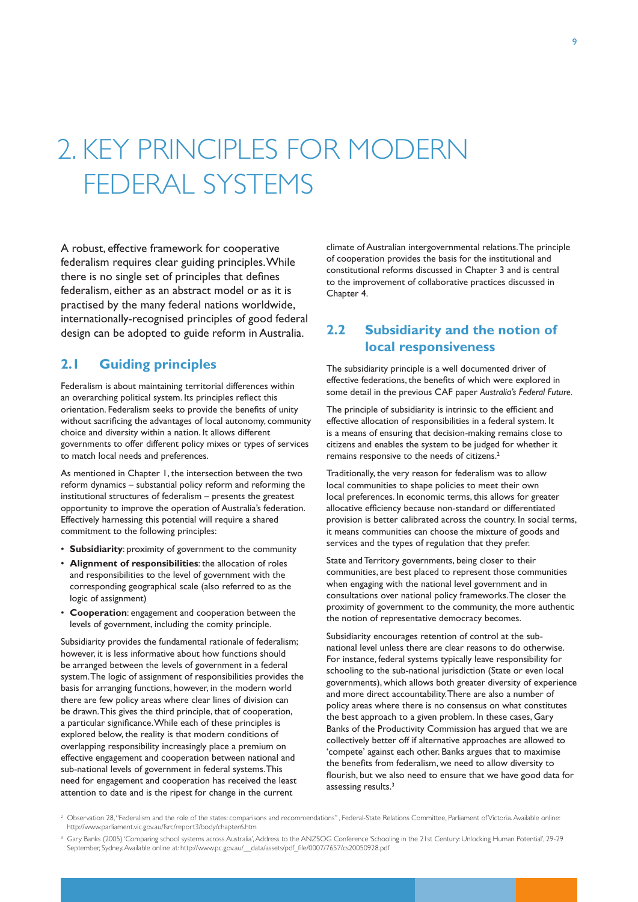# 2. KEY PRINCIPLES FOR MODERN FEDERAL SYSTEMS

A robust, effective framework for cooperative federalism requires clear guiding principles. While there is no single set of principles that defines federalism, either as an abstract model or as it is practised by the many federal nations worldwide, internationally-recognised principles of good federal design can be adopted to guide reform in Australia.

#### **2.1 Guiding principles**

Federalism is about maintaining territorial differences within an overarching political system. Its principles reflect this orientation. Federalism seeks to provide the benefits of unity without sacrificing the advantages of local autonomy, community choice and diversity within a nation. It allows different governments to offer different policy mixes or types of services to match local needs and preferences.

As mentioned in Chapter 1, the intersection between the two reform dynamics – substantial policy reform and reforming the institutional structures of federalism – presents the greatest opportunity to improve the operation of Australia's federation. Effectively harnessing this potential will require a shared commitment to the following principles:

- • **Subsidiarity**: proximity of government to the community
- • **Alignment of responsibilities**: the allocation of roles and responsibilities to the level of government with the corresponding geographical scale (also referred to as the logic of assignment)
- • **Cooperation**: engagement and cooperation between the levels of government, including the comity principle.

Subsidiarity provides the fundamental rationale of federalism; however, it is less informative about how functions should be arranged between the levels of government in a federal system. The logic of assignment of responsibilities provides the basis for arranging functions, however, in the modern world there are few policy areas where clear lines of division can be drawn. This gives the third principle, that of cooperation, a particular significance. While each of these principles is explored below, the reality is that modern conditions of overlapping responsibility increasingly place a premium on effective engagement and cooperation between national and sub-national levels of government in federal systems. This need for engagement and cooperation has received the least attention to date and is the ripest for change in the current

climate of Australian intergovernmental relations. The principle of cooperation provides the basis for the institutional and constitutional reforms discussed in Chapter 3 and is central to the improvement of collaborative practices discussed in Chapter 4.

### **2.2 Subsidiarity and the notion of local responsiveness**

The subsidiarity principle is a well documented driver of effective federations, the benefits of which were explored in some detail in the previous CAF paper *Australia's Federal Future.*

The principle of subsidiarity is intrinsic to the efficient and effective allocation of responsibilities in a federal system. It is a means of ensuring that decision-making remains close to citizens and enables the system to be judged for whether it remains responsive to the needs of citizens.<sup>2</sup>

Traditionally, the very reason for federalism was to allow local communities to shape policies to meet their own local preferences. In economic terms, this allows for greater allocative efficiency because non-standard or differentiated provision is better calibrated across the country. In social terms, it means communities can choose the mixture of goods and services and the types of regulation that they prefer.

State and Territory governments, being closer to their communities, are best placed to represent those communities when engaging with the national level government and in consultations over national policy frameworks. The closer the proximity of government to the community, the more authentic the notion of representative democracy becomes.

Subsidiarity encourages retention of control at the subnational level unless there are clear reasons to do otherwise. For instance, federal systems typically leave responsibility for schooling to the sub-national jurisdiction (State or even local governments), which allows both greater diversity of experience and more direct accountability. There are also a number of policy areas where there is no consensus on what constitutes the best approach to a given problem. In these cases, Gary Banks of the Productivity Commission has argued that we are collectively better off if alternative approaches are allowed to 'compete' against each other. Banks argues that to maximise the benefits from federalism, we need to allow diversity to flourish, but we also need to ensure that we have good data for assessing results.<sup>3</sup>

 $^2$  Observation 28, "Federalism and the role of the states: comparisons and recommendations", Federal-State Relations Committee, Parliament of Victoria. Available online: http://www.parliament.vic.gov.au/fsrc/report3/body/chapter6.htm

<sup>3</sup> Gary Banks (2005) 'Comparing school systems across Australia', Address to the ANZSOG Conference 'Schooling in the 21st Century: Unlocking Human Potential', 29-29 September, Sydney. Available online at: http://www.pc.gov.au/\_\_data/assets/pdf\_file/0007/7657/cs20050928.pdf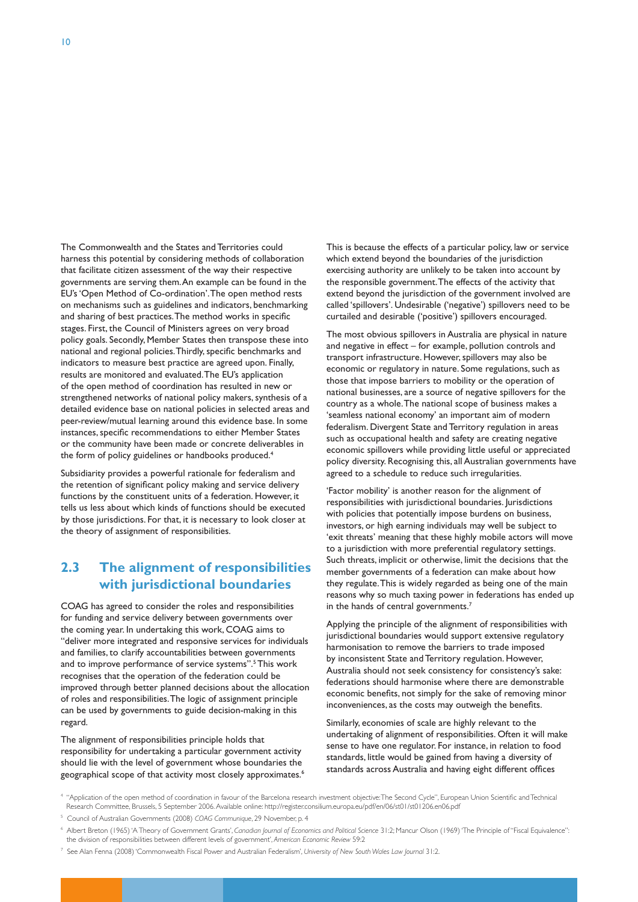The Commonwealth and the States and Territories could harness this potential by considering methods of collaboration that facilitate citizen assessment of the way their respective governments are serving them. An example can be found in the EU's 'Open Method of Co-ordination'. The open method rests on mechanisms such as guidelines and indicators, benchmarking and sharing of best practices. The method works in specific stages. First, the Council of Ministers agrees on very broad policy goals. Secondly, Member States then transpose these into national and regional policies. Thirdly, specific benchmarks and indicators to measure best practice are agreed upon. Finally, results are monitored and evaluated. The EU's application of the open method of coordination has resulted in new or strengthened networks of national policy makers, synthesis of a detailed evidence base on national policies in selected areas and peer-review/mutual learning around this evidence base. In some instances, specific recommendations to either Member States or the community have been made or concrete deliverables in the form of policy guidelines or handbooks produced.<sup>4</sup>

Subsidiarity provides a powerful rationale for federalism and the retention of significant policy making and service delivery functions by the constituent units of a federation. However, it tells us less about which kinds of functions should be executed by those jurisdictions. For that, it is necessary to look closer at the theory of assignment of responsibilities.

## **2.3 The alignment of responsibilities with jurisdictional boundaries**

COAG has agreed to consider the roles and responsibilities for funding and service delivery between governments over the coming year. In undertaking this work, COAG aims to "deliver more integrated and responsive services for individuals and families, to clarify accountabilities between governments and to improve performance of service systems".<sup>5</sup> This work recognises that the operation of the federation could be improved through better planned decisions about the allocation of roles and responsibilities. The logic of assignment principle can be used by governments to guide decision-making in this regard.

The alignment of responsibilities principle holds that responsibility for undertaking a particular government activity should lie with the level of government whose boundaries the geographical scope of that activity most closely approximates.<sup>6</sup> This is because the effects of a particular policy, law or service which extend beyond the boundaries of the jurisdiction exercising authority are unlikely to be taken into account by the responsible government. The effects of the activity that extend beyond the jurisdiction of the government involved are called 'spillovers'. Undesirable ('negative') spillovers need to be curtailed and desirable ('positive') spillovers encouraged.

The most obvious spillovers in Australia are physical in nature and negative in effect – for example, pollution controls and transport infrastructure. However, spillovers may also be economic or regulatory in nature. Some regulations, such as those that impose barriers to mobility or the operation of national businesses, are a source of negative spillovers for the country as a whole. The national scope of business makes a 'seamless national economy' an important aim of modern federalism. Divergent State and Territory regulation in areas such as occupational health and safety are creating negative economic spillovers while providing little useful or appreciated policy diversity. Recognising this, all Australian governments have agreed to a schedule to reduce such irregularities.

'Factor mobility' is another reason for the alignment of responsibilities with jurisdictional boundaries. Jurisdictions with policies that potentially impose burdens on business, investors, or high earning individuals may well be subject to 'exit threats' meaning that these highly mobile actors will move to a jurisdiction with more preferential regulatory settings. Such threats, implicit or otherwise, limit the decisions that the member governments of a federation can make about how they regulate. This is widely regarded as being one of the main reasons why so much taxing power in federations has ended up in the hands of central governments.<sup>7</sup>

Applying the principle of the alignment of responsibilities with jurisdictional boundaries would support extensive regulatory harmonisation to remove the barriers to trade imposed by inconsistent State and Territory regulation. However, Australia should not seek consistency for consistency's sake: federations should harmonise where there are demonstrable economic benefits, not simply for the sake of removing minor inconveniences, as the costs may outweigh the benefits.

Similarly, economies of scale are highly relevant to the undertaking of alignment of responsibilities. Often it will make sense to have one regulator. For instance, in relation to food standards, little would be gained from having a diversity of standards across Australia and having eight different offices

- 4 "Application of the open method of coordination in favour of the Barcelona research investment objective: The Second Cycle", European Union Scientific and Technical Research Committee, Brussels, 5 September 2006. Available online: http://register.consilium.europa.eu/pdf/en/06/st01/st01206.en06.pdf
- 5 Council of Australian Governments (2008) *COAG Communique*, 29 November, p. 4

7 See Alan Fenna (2008) 'Commonwealth Fiscal Power and Australian Federalism', *University of New South Wales Law Journal* 31:2.

<sup>6</sup> Albert Breton (1965) 'A Theory of Government Grants', *Canadian Journal of Economics and Political Science* 31:2; Mancur Olson (1969) 'The Principle of "Fiscal Equivalence": the division of responsibilities between different levels of government', *American Economic Review* 59:2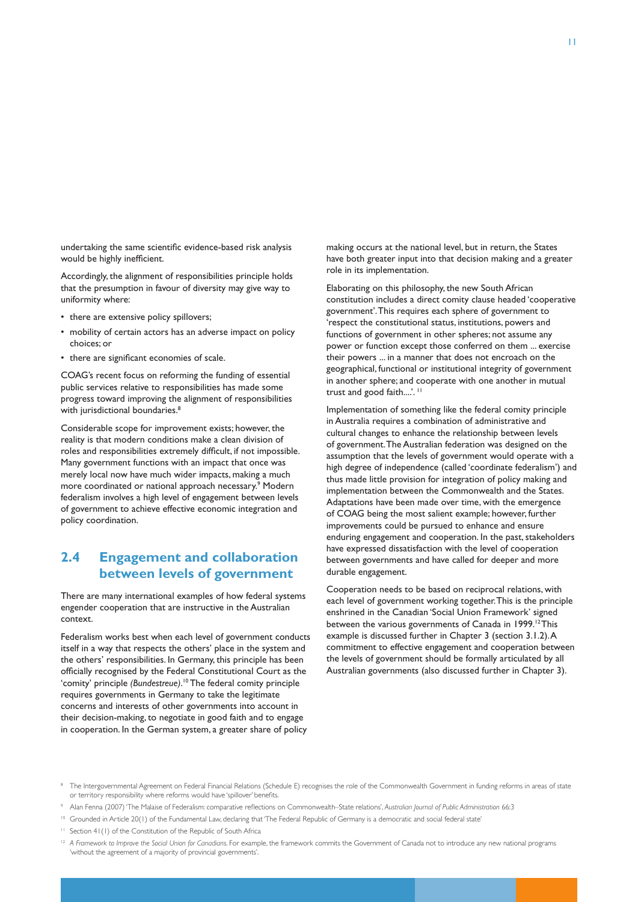undertaking the same scientific evidence-based risk analysis would be highly inefficient.

Accordingly, the alignment of responsibilities principle holds that the presumption in favour of diversity may give way to uniformity where:

- there are extensive policy spillovers;
- mobility of certain actors has an adverse impact on policy choices; or
- there are significant economies of scale.

COAG's recent focus on reforming the funding of essential public services relative to responsibilities has made some progress toward improving the alignment of responsibilities with jurisdictional boundaries.<sup>8</sup>

Considerable scope for improvement exists; however, the reality is that modern conditions make a clean division of roles and responsibilities extremely difficult, if not impossible. Many government functions with an impact that once was merely local now have much wider impacts, making a much more coordinated or national approach necessary.<sup>9</sup> Modern federalism involves a high level of engagement between levels of government to achieve effective economic integration and policy coordination.

## **2.4 Engagement and collaboration between levels of government**

There are many international examples of how federal systems engender cooperation that are instructive in the Australian context.

Federalism works best when each level of government conducts itself in a way that respects the others' place in the system and the others' responsibilities. In Germany, this principle has been officially recognised by the Federal Constitutional Court as the 'comity' principle *(Bundestreue)*. 10 The federal comity principle requires governments in Germany to take the legitimate concerns and interests of other governments into account in their decision-making, to negotiate in good faith and to engage in cooperation. In the German system, a greater share of policy

making occurs at the national level, but in return, the States have both greater input into that decision making and a greater role in its implementation.

Elaborating on this philosophy, the new South African constitution includes a direct comity clause headed 'cooperative government'. This requires each sphere of government to 'respect the constitutional status, institutions, powers and functions of government in other spheres; not assume any power or function except those conferred on them ... exercise their powers ... in a manner that does not encroach on the geographical, functional or institutional integrity of government in another sphere; and cooperate with one another in mutual trust and good faith....'. <sup>11</sup>

Implementation of something like the federal comity principle in Australia requires a combination of administrative and cultural changes to enhance the relationship between levels of government. The Australian federation was designed on the assumption that the levels of government would operate with a high degree of independence (called 'coordinate federalism') and thus made little provision for integration of policy making and implementation between the Commonwealth and the States. Adaptations have been made over time, with the emergence of COAG being the most salient example; however, further improvements could be pursued to enhance and ensure enduring engagement and cooperation. In the past, stakeholders have expressed dissatisfaction with the level of cooperation between governments and have called for deeper and more durable engagement.

Cooperation needs to be based on reciprocal relations, with each level of government working together. This is the principle enshrined in the Canadian 'Social Union Framework' signed between the various governments of Canada in 1999.<sup>12</sup> This example is discussed further in Chapter 3 (section 3.1.2). A commitment to effective engagement and cooperation between the levels of government should be formally articulated by all Australian governments (also discussed further in Chapter 3).

- 9 Alan Fenna (2007) 'The Malaise of Federalism: comparative reflections on Commonwealth–State relations', *Australian Journal of Public Administration* 66:3
- <sup>10</sup> Grounded in Article 20(1) of the Fundamental Law, declaring that 'The Federal Republic of Germany is a democratic and social federal state'
- <sup>11</sup> Section 41(1) of the Constitution of the Republic of South Africa

**B** The Intergovernmental Agreement on Federal Financial Relations (Schedule E) recognises the role of the Commonwealth Government in funding reforms in areas of state or territory responsibility where reforms would have 'spillover' benefits.

<sup>&</sup>lt;sup>12</sup> A Framework to Improve the Social Union for Canadians. For example, the framework commits the Government of Canada not to introduce any new national programs 'without the agreement of a majority of provincial governments'.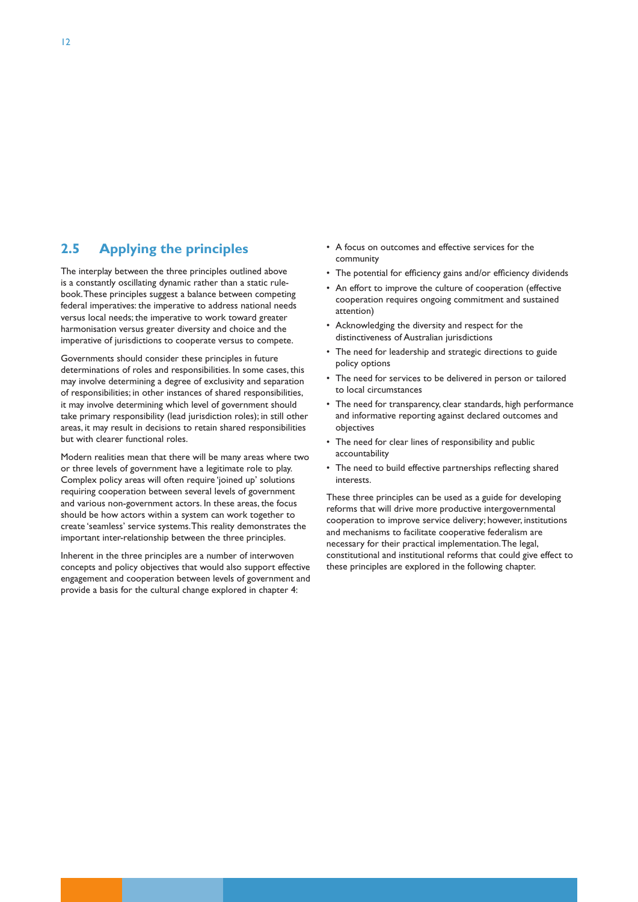### **2.5 Applying the principles**

The interplay between the three principles outlined above is a constantly oscillating dynamic rather than a static rulebook. These principles suggest a balance between competing federal imperatives: the imperative to address national needs versus local needs; the imperative to work toward greater harmonisation versus greater diversity and choice and the imperative of jurisdictions to cooperate versus to compete.

Governments should consider these principles in future determinations of roles and responsibilities. In some cases, this may involve determining a degree of exclusivity and separation of responsibilities; in other instances of shared responsibilities, it may involve determining which level of government should take primary responsibility (lead jurisdiction roles); in still other areas, it may result in decisions to retain shared responsibilities but with clearer functional roles.

Modern realities mean that there will be many areas where two or three levels of government have a legitimate role to play. Complex policy areas will often require 'joined up' solutions requiring cooperation between several levels of government and various non-government actors. In these areas, the focus should be how actors within a system can work together to create 'seamless' service systems. This reality demonstrates the important inter-relationship between the three principles.

Inherent in the three principles are a number of interwoven concepts and policy objectives that would also support effective engagement and cooperation between levels of government and provide a basis for the cultural change explored in chapter 4:

- • A focus on outcomes and effective services for the community
- The potential for efficiency gains and/or efficiency dividends
- An effort to improve the culture of cooperation (effective cooperation requires ongoing commitment and sustained attention)
- • Acknowledging the diversity and respect for the distinctiveness of Australian jurisdictions
- The need for leadership and strategic directions to guide policy options
- The need for services to be delivered in person or tailored to local circumstances
- The need for transparency, clear standards, high performance and informative reporting against declared outcomes and objectives
- The need for clear lines of responsibility and public accountability
- The need to build effective partnerships reflecting shared interests.

These three principles can be used as a guide for developing reforms that will drive more productive intergovernmental cooperation to improve service delivery; however, institutions and mechanisms to facilitate cooperative federalism are necessary for their practical implementation. The legal, constitutional and institutional reforms that could give effect to these principles are explored in the following chapter.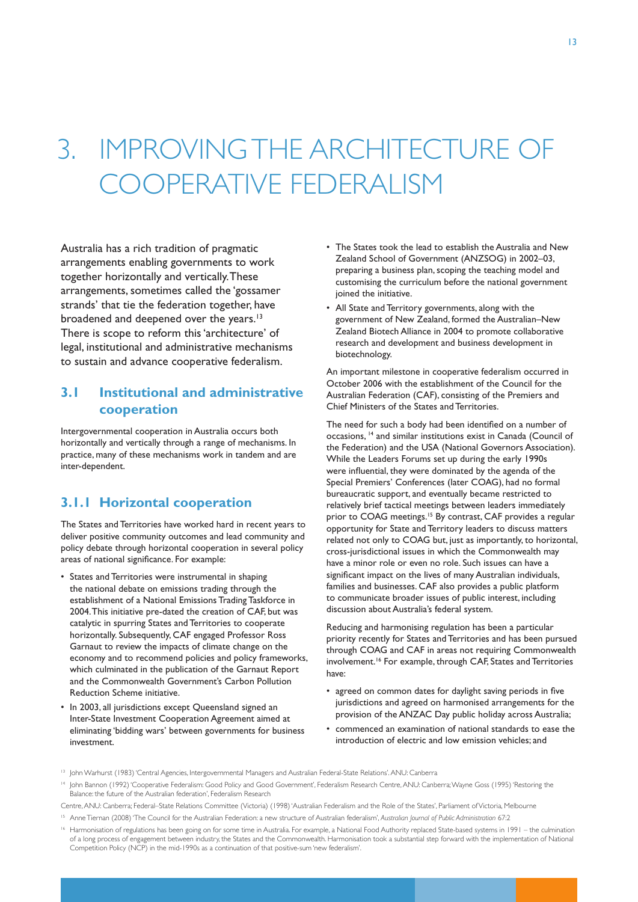# 3. IMPROVING THE ARCHITECTURE OF COOPERATIVE FEDERALISM

Australia has a rich tradition of pragmatic arrangements enabling governments to work together horizontally and vertically. These arrangements, sometimes called the 'gossamer strands' that tie the federation together, have broadened and deepened over the years.<sup>13</sup> There is scope to reform this 'architecture' of legal, institutional and administrative mechanisms to sustain and advance cooperative federalism.

## **3.1 Institutional and administrative cooperation**

Intergovernmental cooperation in Australia occurs both horizontally and vertically through a range of mechanisms. In practice, many of these mechanisms work in tandem and are inter-dependent.

### **3.1.1 Horizontal cooperation**

The States and Territories have worked hard in recent years to deliver positive community outcomes and lead community and policy debate through horizontal cooperation in several policy areas of national significance. For example:

- • States and Territories were instrumental in shaping the national debate on emissions trading through the establishment of a National Emissions Trading Taskforce in 2004. This initiative pre-dated the creation of CAF, but was catalytic in spurring States and Territories to cooperate horizontally. Subsequently, CAF engaged Professor Ross Garnaut to review the impacts of climate change on the economy and to recommend policies and policy frameworks, which culminated in the publication of the Garnaut Report and the Commonwealth Government's Carbon Pollution Reduction Scheme initiative.
- • In 2003, all jurisdictions except Queensland signed an Inter-State Investment Cooperation Agreement aimed at eliminating 'bidding wars' between governments for business investment.
- The States took the lead to establish the Australia and New Zealand School of Government (ANZSOG) in 2002–03, preparing a business plan, scoping the teaching model and customising the curriculum before the national government joined the initiative.
- • All State and Territory governments, along with the government of New Zealand, formed the Australian–New Zealand Biotech Alliance in 2004 to promote collaborative research and development and business development in biotechnology.

An important milestone in cooperative federalism occurred in October 2006 with the establishment of the Council for the Australian Federation (CAF), consisting of the Premiers and Chief Ministers of the States and Territories.

The need for such a body had been identified on a number of occasions, 14 and similar institutions exist in Canada (Council of the Federation) and the USA (National Governors Association). While the Leaders Forums set up during the early 1990s were influential, they were dominated by the agenda of the Special Premiers' Conferences (later COAG), had no formal bureaucratic support, and eventually became restricted to relatively brief tactical meetings between leaders immediately prior to COAG meetings.<sup>15</sup> By contrast, CAF provides a regular opportunity for State and Territory leaders to discuss matters related not only to COAG but, just as importantly, to horizontal, cross-jurisdictional issues in which the Commonwealth may have a minor role or even no role. Such issues can have a significant impact on the lives of many Australian individuals, families and businesses. CAF also provides a public platform to communicate broader issues of public interest, including discussion about Australia's federal system.

Reducing and harmonising regulation has been a particular priority recently for States and Territories and has been pursued through COAG and CAF in areas not requiring Commonwealth involvement.<sup>16</sup> For example, through CAF, States and Territories have:

- agreed on common dates for daylight saving periods in five jurisdictions and agreed on harmonised arrangements for the provision of the ANZAC Day public holiday across Australia;
- commenced an examination of national standards to ease the introduction of electric and low emission vehicles; and

Centre, ANU: Canberra; Federal–State Relations Committee (Victoria) (1998) 'Australian Federalism and the Role of the States', Parliament of Victoria, Melbourne

<sup>13</sup> John Warhurst (1983) 'Central Agencies, Intergovernmental Managers and Australian Federal-State Relations'. ANU: Canberra

<sup>&</sup>lt;sup>14</sup> John Bannon (1992) 'Cooperative Federalism: Good Policy and Good Government', Federalism Research Centre, ANU: Canberra; Wayne Goss (1995) 'Restoring the Balance: the future of the Australian federation', Federalism Research

<sup>15</sup> Anne Tiernan (2008) 'The Council for the Australian Federation: a new structure of Australian federalism', *Australian Journal of Public Administration* 67:2

<sup>&</sup>lt;sup>16</sup> Harmonisation of regulations has been going on for some time in Australia. For example, a National Food Authority replaced State-based systems in 1991 – the culmination of a long process of engagement between industry, the States and the Commonwealth. Harmonisation took a substantial step forward with the implementation of National Competition Policy (NCP) in the mid-1990s as a continuation of that positive-sum 'new federalism'.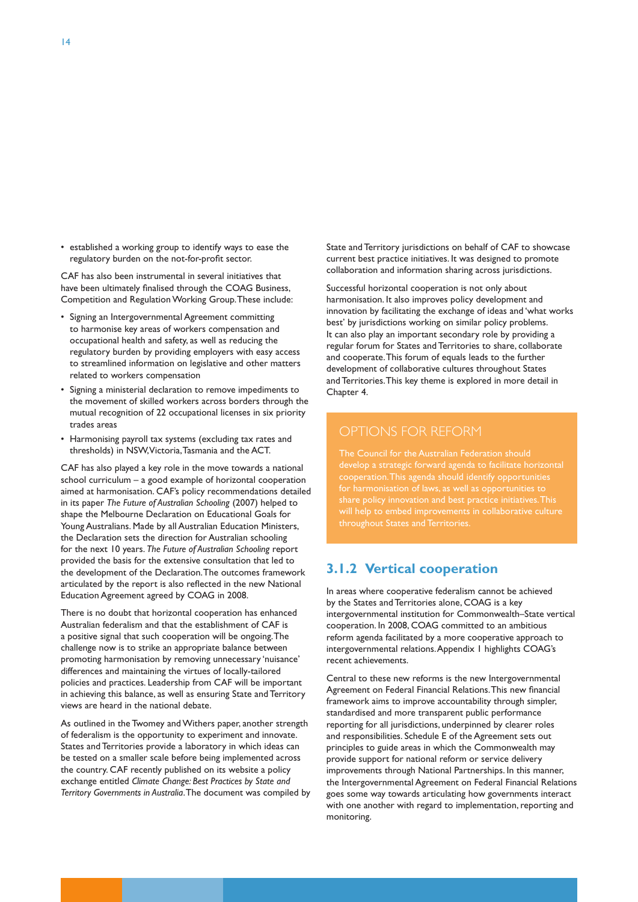• established a working group to identify ways to ease the regulatory burden on the not-for-profit sector.

CAF has also been instrumental in several initiatives that have been ultimately finalised through the COAG Business, Competition and Regulation Working Group. These include:

- • Signing an Intergovernmental Agreement committing to harmonise key areas of workers compensation and occupational health and safety, as well as reducing the regulatory burden by providing employers with easy access to streamlined information on legislative and other matters related to workers compensation
- • Signing a ministerial declaration to remove impediments to the movement of skilled workers across borders through the mutual recognition of 22 occupational licenses in six priority trades areas
- • Harmonising payroll tax systems (excluding tax rates and thresholds) in NSW, Victoria, Tasmania and the ACT.

CAF has also played a key role in the move towards a national school curriculum – a good example of horizontal cooperation aimed at harmonisation. CAF's policy recommendations detailed in its paper *The Future of Australian Schooling* (2007) helped to shape the Melbourne Declaration on Educational Goals for Young Australians. Made by all Australian Education Ministers, the Declaration sets the direction for Australian schooling for the next 10 years. *The Future of Australian Schooling* report provided the basis for the extensive consultation that led to the development of the Declaration. The outcomes framework articulated by the report is also reflected in the new National Education Agreement agreed by COAG in 2008.

There is no doubt that horizontal cooperation has enhanced Australian federalism and that the establishment of CAF is a positive signal that such cooperation will be ongoing. The challenge now is to strike an appropriate balance between promoting harmonisation by removing unnecessary 'nuisance' differences and maintaining the virtues of locally-tailored policies and practices. Leadership from CAF will be important in achieving this balance, as well as ensuring State and Territory views are heard in the national debate.

As outlined in the Twomey and Withers paper, another strength of federalism is the opportunity to experiment and innovate. States and Territories provide a laboratory in which ideas can be tested on a smaller scale before being implemented across the country. CAF recently published on its website a policy exchange entitled *Climate Change: Best Practices by State and Territory Governments in Australia*. The document was compiled by State and Territory jurisdictions on behalf of CAF to showcase current best practice initiatives. It was designed to promote collaboration and information sharing across jurisdictions.

Successful horizontal cooperation is not only about harmonisation. It also improves policy development and innovation by facilitating the exchange of ideas and 'what works best' by jurisdictions working on similar policy problems. It can also play an important secondary role by providing a regular forum for States and Territories to share, collaborate and cooperate. This forum of equals leads to the further development of collaborative cultures throughout States and Territories. This key theme is explored in more detail in Chapter 4.

#### OPTIONS FOR REFORM

The Council for the Australian Federation should throughout States and Territories.

### **3.1.2 Vertical cooperation**

In areas where cooperative federalism cannot be achieved by the States and Territories alone, COAG is a key intergovernmental institution for Commonwealth–State vertical cooperation. In 2008, COAG committed to an ambitious reform agenda facilitated by a more cooperative approach to intergovernmental relations. Appendix 1 highlights COAG's recent achievements.

Central to these new reforms is the new Intergovernmental Agreement on Federal Financial Relations. This new financial framework aims to improve accountability through simpler, standardised and more transparent public performance reporting for all jurisdictions, underpinned by clearer roles and responsibilities. Schedule E of the Agreement sets out principles to guide areas in which the Commonwealth may provide support for national reform or service delivery improvements through National Partnerships. In this manner, the Intergovernmental Agreement on Federal Financial Relations goes some way towards articulating how governments interact with one another with regard to implementation, reporting and monitoring.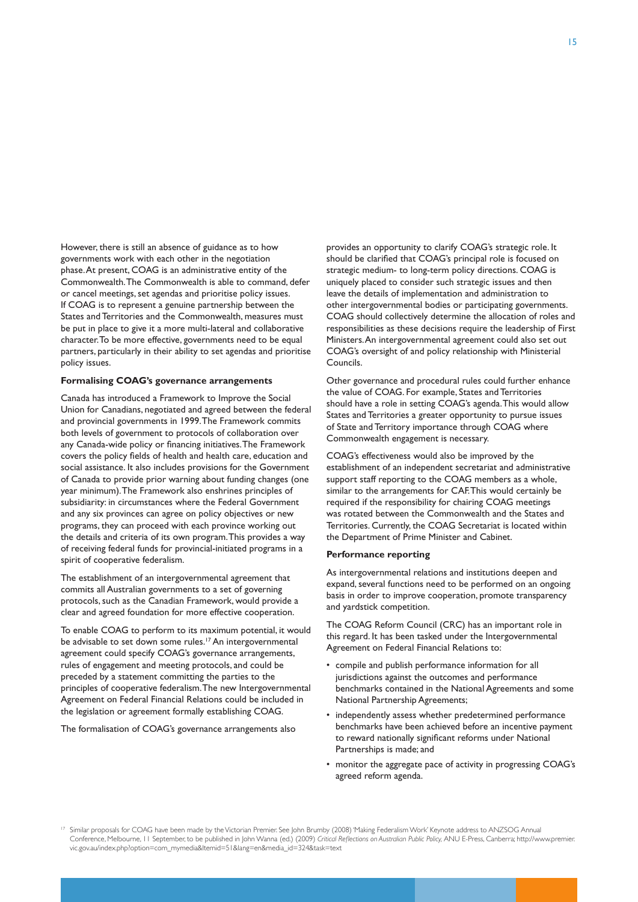However, there is still an absence of guidance as to how governments work with each other in the negotiation phase. At present, COAG is an administrative entity of the Commonwealth. The Commonwealth is able to command, defer or cancel meetings, set agendas and prioritise policy issues. If COAG is to represent a genuine partnership between the States and Territories and the Commonwealth, measures must be put in place to give it a more multi-lateral and collaborative character. To be more effective, governments need to be equal partners, particularly in their ability to set agendas and prioritise policy issues.

#### **Formalising COAG's governance arrangements**

Canada has introduced a Framework to Improve the Social Union for Canadians, negotiated and agreed between the federal and provincial governments in 1999. The Framework commits both levels of government to protocols of collaboration over any Canada-wide policy or financing initiatives. The Framework covers the policy fields of health and health care, education and social assistance. It also includes provisions for the Government of Canada to provide prior warning about funding changes (one year minimum). The Framework also enshrines principles of subsidiarity: in circumstances where the Federal Government and any six provinces can agree on policy objectives or new programs, they can proceed with each province working out the details and criteria of its own program. This provides a way of receiving federal funds for provincial-initiated programs in a spirit of cooperative federalism.

The establishment of an intergovernmental agreement that commits all Australian governments to a set of governing protocols, such as the Canadian Framework, would provide a clear and agreed foundation for more effective cooperation.

To enable COAG to perform to its maximum potential, it would be advisable to set down some rules.<sup>17</sup> An intergovernmental agreement could specify COAG's governance arrangements, rules of engagement and meeting protocols, and could be preceded by a statement committing the parties to the principles of cooperative federalism. The new Intergovernmental Agreement on Federal Financial Relations could be included in the legislation or agreement formally establishing COAG.

The formalisation of COAG's governance arrangements also

provides an opportunity to clarify COAG's strategic role. It should be clarified that COAG's principal role is focused on strategic medium- to long-term policy directions. COAG is uniquely placed to consider such strategic issues and then leave the details of implementation and administration to other intergovernmental bodies or participating governments. COAG should collectively determine the allocation of roles and responsibilities as these decisions require the leadership of First Ministers. An intergovernmental agreement could also set out COAG's oversight of and policy relationship with Ministerial Councils.

Other governance and procedural rules could further enhance the value of COAG. For example, States and Territories should have a role in setting COAG's agenda. This would allow States and Territories a greater opportunity to pursue issues of State and Territory importance through COAG where Commonwealth engagement is necessary.

COAG's effectiveness would also be improved by the establishment of an independent secretariat and administrative support staff reporting to the COAG members as a whole, similar to the arrangements for CAF. This would certainly be required if the responsibility for chairing COAG meetings was rotated between the Commonwealth and the States and Territories. Currently, the COAG Secretariat is located within the Department of Prime Minister and Cabinet.

#### **Performance reporting**

As intergovernmental relations and institutions deepen and expand, several functions need to be performed on an ongoing basis in order to improve cooperation, promote transparency and yardstick competition.

The COAG Reform Council (CRC) has an important role in this regard. It has been tasked under the Intergovernmental Agreement on Federal Financial Relations to:

- • compile and publish performance information for all jurisdictions against the outcomes and performance benchmarks contained in the National Agreements and some National Partnership Agreements;
- independently assess whether predetermined performance benchmarks have been achieved before an incentive payment to reward nationally significant reforms under National Partnerships is made; and
- monitor the aggregate pace of activity in progressing COAG's agreed reform agenda.

<sup>&</sup>lt;sup>17</sup> Similar proposals for COAG have been made by the Victorian Premier. See John Brumby (2008) 'Making Federalism Work' Keynote address to ANZSOG Annual Conference, Melbourne, 11 September, to be published in John Wanna (ed.) (2009) *Critical Reflections on Australian Public Policy,* ANU E-Press, Canberra; http://www.premier. vic.gov.au/index.php?option=com\_mymedia&Itemid=51&lang=en&media\_id=324&task=text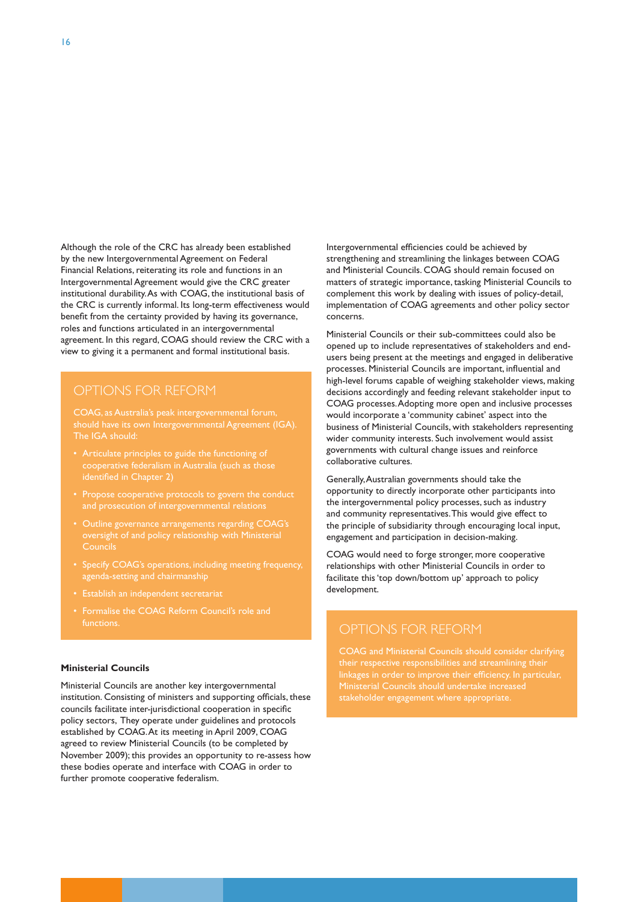Although the role of the CRC has already been established by the new Intergovernmental Agreement on Federal Financial Relations, reiterating its role and functions in an Intergovernmental Agreement would give the CRC greater institutional durability. As with COAG, the institutional basis of the CRC is currently informal. Its long-term effectiveness would benefit from the certainty provided by having its governance, roles and functions articulated in an intergovernmental agreement. In this regard, COAG should review the CRC with a view to giving it a permanent and formal institutional basis.

#### OPTIONS FOR REFORM

COAG, as Australia's peak intergovernmental forum, should have its own Intergovernmental Agreement (IGA).

- Articulate principles to guide the functioning of cooperative federalism in Australia (such as those identified in Chapter 2)
- 
- Councils
- agenda-setting and chairmanship
- • Establish an independent secretariat
- Formalise the COAG Reform Council's role and functions. The contractions of the contractions of the contractions of the contractions of the contraction of the contraction of the contraction of the contraction of the contraction of the contraction of the contraction o

#### **Ministerial Councils**

Ministerial Councils are another key intergovernmental institution. Consisting of ministers and supporting officials, these councils facilitate inter-jurisdictional cooperation in specific policy sectors, They operate under guidelines and protocols established by COAG. At its meeting in April 2009, COAG agreed to review Ministerial Councils (to be completed by November 2009); this provides an opportunity to re-assess how these bodies operate and interface with COAG in order to further promote cooperative federalism.

Intergovernmental efficiencies could be achieved by strengthening and streamlining the linkages between COAG and Ministerial Councils. COAG should remain focused on matters of strategic importance, tasking Ministerial Councils to complement this work by dealing with issues of policy-detail, implementation of COAG agreements and other policy sector concerns.

Ministerial Councils or their sub-committees could also be opened up to include representatives of stakeholders and endusers being present at the meetings and engaged in deliberative processes. Ministerial Councils are important, influential and high-level forums capable of weighing stakeholder views, making decisions accordingly and feeding relevant stakeholder input to COAG processes. Adopting more open and inclusive processes would incorporate a 'community cabinet' aspect into the business of Ministerial Councils, with stakeholders representing wider community interests. Such involvement would assist governments with cultural change issues and reinforce collaborative cultures.

Generally, Australian governments should take the opportunity to directly incorporate other participants into the intergovernmental policy processes, such as industry and community representatives. This would give effect to the principle of subsidiarity through encouraging local input, engagement and participation in decision-making.

COAG would need to forge stronger, more cooperative relationships with other Ministerial Councils in order to facilitate this 'top down/bottom up' approach to policy development.

COAG and Ministerial Councils should consider clarifying stakeholder engagement where appropriate.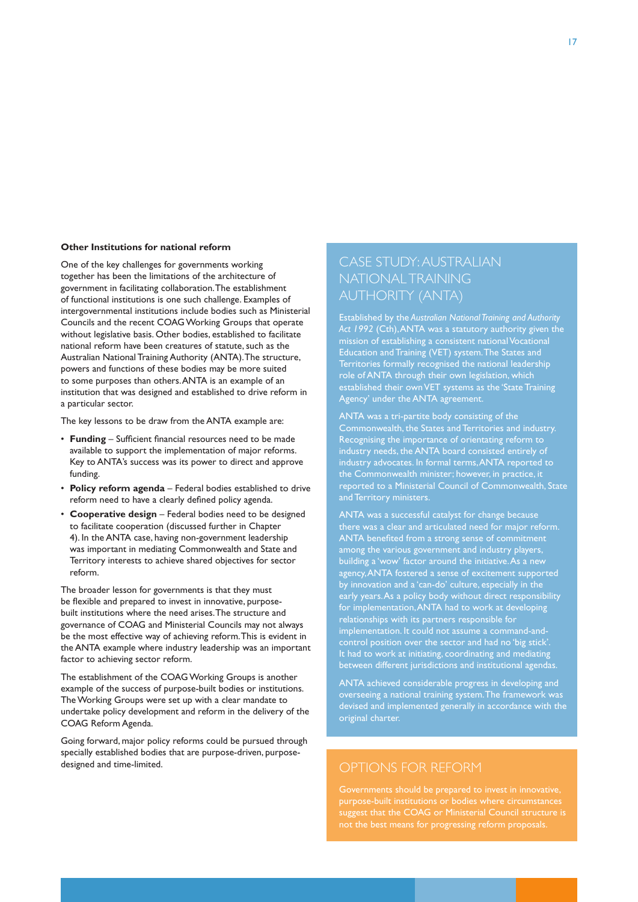#### **Other Institutions for national reform**

One of the key challenges for governments working together has been the limitations of the architecture of government in facilitating collaboration. The establishment of functional institutions is one such challenge. Examples of intergovernmental institutions include bodies such as Ministerial Councils and the recent COAG Working Groups that operate without legislative basis. Other bodies, established to facilitate national reform have been creatures of statute, such as the Australian National Training Authority (ANTA). The structure, powers and functions of these bodies may be more suited to some purposes than others. ANTA is an example of an institution that was designed and established to drive reform in a particular sector.

The key lessons to be draw from the ANTA example are:

- • **Funding** Sufficient financial resources need to be made available to support the implementation of major reforms. Key to ANTA's success was its power to direct and approve funding.
- • **Policy reform agenda** Federal bodies established to drive reform need to have a clearly defined policy agenda.
- • **Cooperative design** Federal bodies need to be designed to facilitate cooperation (discussed further in Chapter 4). In the ANTA case, having non-government leadership was important in mediating Commonwealth and State and Territory interests to achieve shared objectives for sector reform.

The broader lesson for governments is that they must be flexible and prepared to invest in innovative, purposebuilt institutions where the need arises. The structure and governance of COAG and Ministerial Councils may not always be the most effective way of achieving reform. This is evident in the ANTA example where industry leadership was an important factor to achieving sector reform.

The establishment of the COAG Working Groups is another example of the success of purpose-built bodies or institutions. The Working Groups were set up with a clear mandate to undertake policy development and reform in the delivery of the COAG Reform Agenda.

Going forward, major policy reforms could be pursued through specially established bodies that are purpose-driven, purposedesigned and time-limited.

## CASE STUDY: AUSTRALIAN NATIONAL TRAINING AUTHORITY (ANTA)

Established by the *Australian National Training and Authority Act 1992* (Cth), ANTA was a statutory authority given the mission of establishing a consistent national Vocational Education and Training (VET) system. The States and Territories formally recognised the national leadership role of ANTA through their own legislation, which established their own VET systems as the 'State Training Agency' under the ANTA agreement.

ANTA was a tri-partite body consisting of the Commonwealth, the States and Territories and industry. Recognising the importance of orientating reform to industry needs, the ANTA board consisted entirely of industry advocates. In formal terms, ANTA reported to the Commonwealth minister; however, in practice, it reported to a Ministerial Council of Commonwealth, State and Territory ministers.

ANTA was a successful catalyst for change because there was a clear and articulated need for major reform. ANTA benefited from a strong sense of commitment among the various government and industry players, building a 'wow' factor around the initiative. As a new agency, ANTA fostered a sense of excitement supported by innovation and a 'can-do' culture, especially in the early years. As a policy body without direct responsibility for implementation, ANTA had to work at developing relationships with its partners responsible for implementation. It could not assume a command-andcontrol position over the sector and had no 'big stick'. It had to work at initiating, coordinating and mediating between different jurisdictions and institutional agendas.

ANTA achieved considerable progress in developing and overseeing a national training system. The framework was devised and implemented generally in accordance with the original charter.

suggest that the COAG or Ministerial Council structure is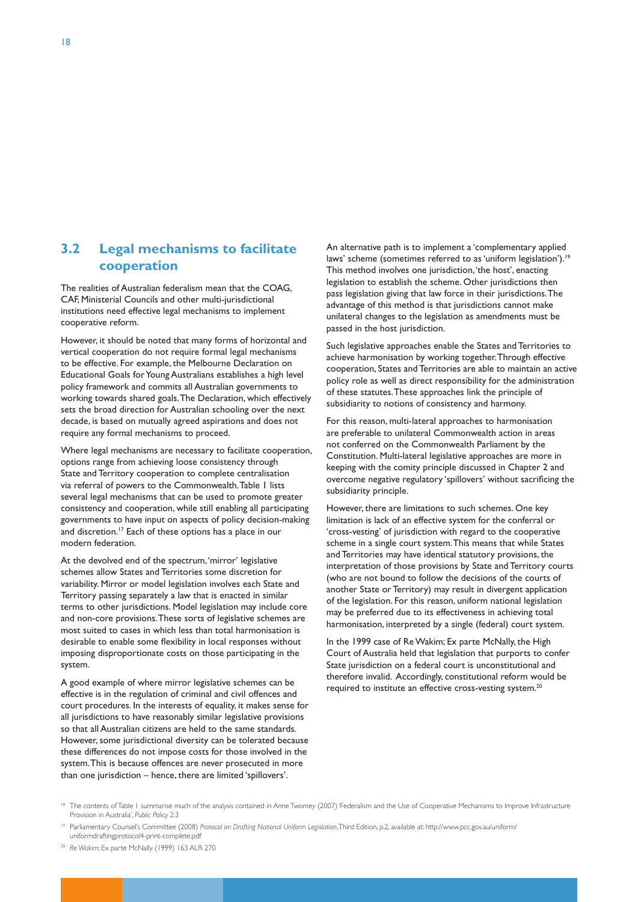### **3.2 Legal mechanisms to facilitate cooperation**

The realities of Australian federalism mean that the COAG, CAF, Ministerial Councils and other multi-jurisdictional institutions need effective legal mechanisms to implement cooperative reform.

However, it should be noted that many forms of horizontal and vertical cooperation do not require formal legal mechanisms to be effective. For example, the Melbourne Declaration on Educational Goals for Young Australians establishes a high level policy framework and commits all Australian governments to working towards shared goals. The Declaration, which effectively sets the broad direction for Australian schooling over the next decade, is based on mutually agreed aspirations and does not require any formal mechanisms to proceed.

Where legal mechanisms are necessary to facilitate cooperation, options range from achieving loose consistency through State and Territory cooperation to complete centralisation via referral of powers to the Commonwealth. Table 1 lists several legal mechanisms that can be used to promote greater consistency and cooperation, while still enabling all participating governments to have input on aspects of policy decision-making and discretion.<sup>17</sup> Each of these options has a place in our modern federation.

At the devolved end of the spectrum, 'mirror' legislative schemes allow States and Territories some discretion for variability. Mirror or model legislation involves each State and Territory passing separately a law that is enacted in similar terms to other jurisdictions. Model legislation may include core and non-core provisions. These sorts of legislative schemes are most suited to cases in which less than total harmonisation is desirable to enable some flexibility in local responses without imposing disproportionate costs on those participating in the system.

A good example of where mirror legislative schemes can be effective is in the regulation of criminal and civil offences and court procedures. In the interests of equality, it makes sense for all jurisdictions to have reasonably similar legislative provisions so that all Australian citizens are held to the same standards. However, some jurisdictional diversity can be tolerated because these differences do not impose costs for those involved in the system. This is because offences are never prosecuted in more than one jurisdiction – hence, there are limited 'spillovers'.

An alternative path is to implement a 'complementary applied laws' scheme (sometimes referred to as 'uniform legislation').<sup>19</sup> This method involves one jurisdiction, 'the host', enacting legislation to establish the scheme. Other jurisdictions then pass legislation giving that law force in their jurisdictions. The advantage of this method is that jurisdictions cannot make unilateral changes to the legislation as amendments must be passed in the host jurisdiction.

Such legislative approaches enable the States and Territories to achieve harmonisation by working together. Through effective cooperation, States and Territories are able to maintain an active policy role as well as direct responsibility for the administration of these statutes. These approaches link the principle of subsidiarity to notions of consistency and harmony.

For this reason, multi-lateral approaches to harmonisation are preferable to unilateral Commonwealth action in areas not conferred on the Commonwealth Parliament by the Constitution. Multi-lateral legislative approaches are more in keeping with the comity principle discussed in Chapter 2 and overcome negative regulatory 'spillovers' without sacrificing the subsidiarity principle.

However, there are limitations to such schemes. One key limitation is lack of an effective system for the conferral or 'cross-vesting' of jurisdiction with regard to the cooperative scheme in a single court system. This means that while States and Territories may have identical statutory provisions, the interpretation of those provisions by State and Territory courts (who are not bound to follow the decisions of the courts of another State or Territory) may result in divergent application of the legislation. For this reason, uniform national legislation may be preferred due to its effectiveness in achieving total harmonisation, interpreted by a single (federal) court system.

In the 1999 case of Re Wakim; Ex parte McNally, the High Court of Australia held that legislation that purports to confer State jurisdiction on a federal court is unconstitutional and therefore invalid. Accordingly, constitutional reform would be required to institute an effective cross-vesting system.20

<sup>20</sup> *Re Wakim*; Ex parte McNally (1999) 163 ALR 270

<sup>&</sup>lt;sup>18</sup> The contents of Table 1 summarise much of the analysis contained in Anne Twomey (2007) 'Federalism and the Use of Cooperative Mechanisms to Improve Infrastructure Provision in Australia', *Public Policy* 2:3

<sup>19</sup> Parliamentary Counsel's Committee (2008) *Protocol on Drafting National Uniform Legislation*, Third Edition, p.2, available at: http://www.pcc.gov.au/uniform/ uniformdraftingprotocol4-print-complete.pdf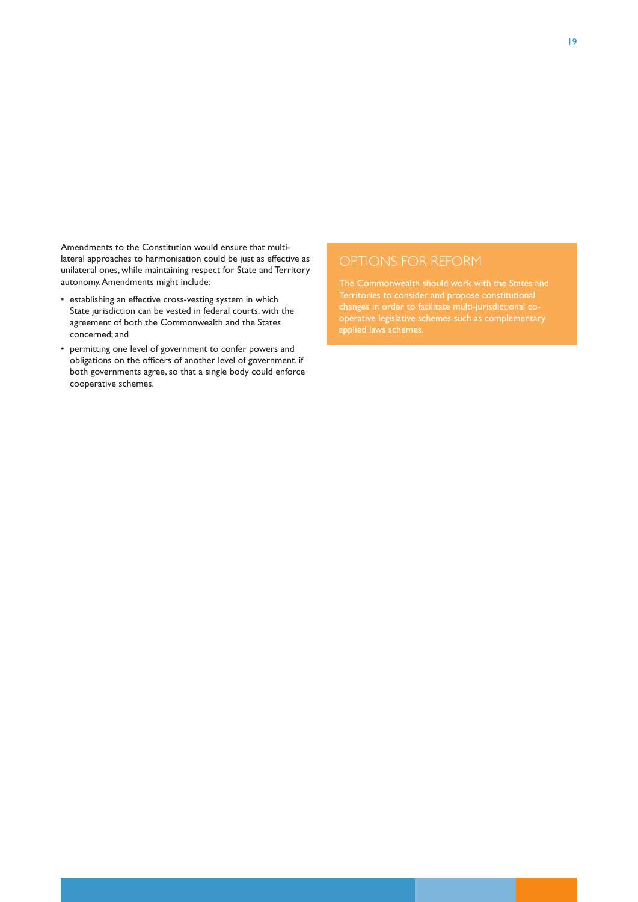Amendments to the Constitution would ensure that multilateral approaches to harmonisation could be just as effective as unilateral ones, while maintaining respect for State and Territory autonomy. Amendments might include:

- • establishing an effective cross-vesting system in which State jurisdiction can be vested in federal courts, with the agreement of both the Commonwealth and the States concerned; and
- • permitting one level of government to confer powers and obligations on the officers of another level of government, if both governments agree, so that a single body could enforce cooperative schemes.

Territories to consider and propose constitutional applied laws schemes.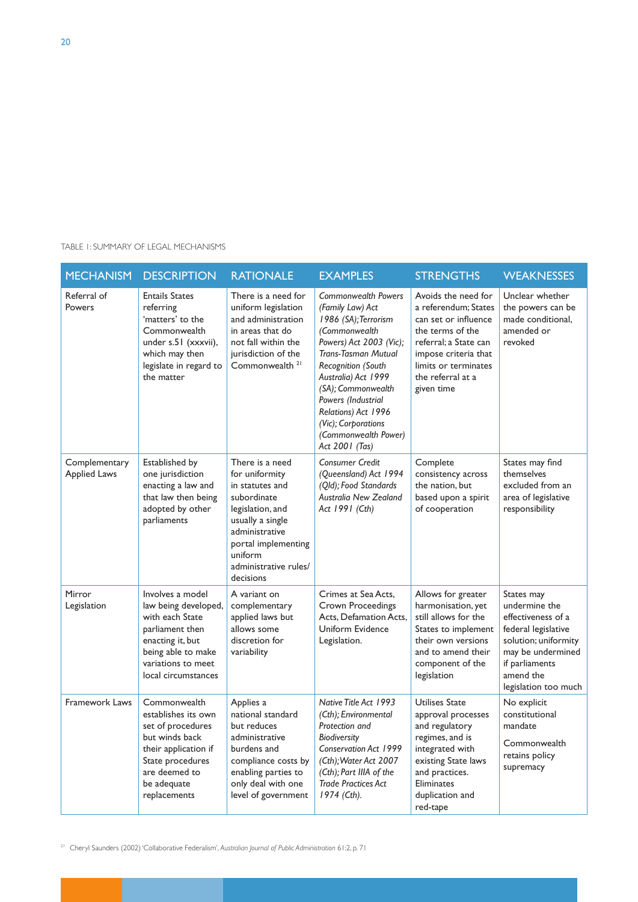| <b>MECHANISM</b>                     | <b>DESCRIPTION</b>                                                                                                                                                     | <b>RATIONALE</b>                                                                                                                                                                                      | <b>EXAMPLES</b>                                                                                                                                                                                                                                                                                                                   | <b>STRENGTHS</b>                                                                                                                                                                                    | <b>WEAKNESSES</b>                                                                                                                                                            |
|--------------------------------------|------------------------------------------------------------------------------------------------------------------------------------------------------------------------|-------------------------------------------------------------------------------------------------------------------------------------------------------------------------------------------------------|-----------------------------------------------------------------------------------------------------------------------------------------------------------------------------------------------------------------------------------------------------------------------------------------------------------------------------------|-----------------------------------------------------------------------------------------------------------------------------------------------------------------------------------------------------|------------------------------------------------------------------------------------------------------------------------------------------------------------------------------|
| Referral of<br>Powers                | <b>Entails States</b><br>referring<br>'matters' to the<br>Commonwealth<br>under s.51 (xxxvii),<br>which may then<br>legislate in regard to<br>the matter               | There is a need for<br>uniform legislation<br>and administration<br>in areas that do<br>not fall within the<br>jurisdiction of the<br>Commonwealth <sup>21</sup>                                      | <b>Commonwealth Powers</b><br>(Family Law) Act<br>1986 (SA); Terrorism<br>(Commonwealth<br>Powers) Act 2003 (Vic);<br>Trans-Tasman Mutual<br><b>Recognition (South</b><br>Australia) Act 1999<br>(SA); Commonwealth<br>Powers (Industrial<br>Relations) Act 1996<br>(Vic); Corporations<br>(Commonwealth Power)<br>Act 2001 (Tas) | Avoids the need for<br>a referendum; States<br>can set or influence<br>the terms of the<br>referral; a State can<br>impose criteria that<br>limits or terminates<br>the referral at a<br>given time | Unclear whether<br>the powers can be<br>made conditional,<br>amended or<br>revoked                                                                                           |
| Complementary<br><b>Applied Laws</b> | Established by<br>one jurisdiction<br>enacting a law and<br>that law then being<br>adopted by other<br>parliaments                                                     | There is a need<br>for uniformity<br>in statutes and<br>subordinate<br>legislation, and<br>usually a single<br>administrative<br>portal implementing<br>uniform<br>administrative rules/<br>decisions | <b>Consumer Credit</b><br>(Queensland) Act 1994<br>(Qld); Food Standards<br>Australia New Zealand<br>Act 1991 (Cth)                                                                                                                                                                                                               | Complete<br>consistency across<br>the nation, but<br>based upon a spirit<br>of cooperation                                                                                                          | States may find<br>themselves<br>excluded from an<br>area of legislative<br>responsibility                                                                                   |
| Mirror<br>Legislation                | Involves a model<br>law being developed,<br>with each State<br>parliament then<br>enacting it, but<br>being able to make<br>variations to meet<br>local circumstances  | A variant on<br>complementary<br>applied laws but<br>allows some<br>discretion for<br>variability                                                                                                     | Crimes at Sea Acts,<br><b>Crown Proceedings</b><br>Acts, Defamation Acts,<br>Uniform Evidence<br>Legislation.                                                                                                                                                                                                                     | Allows for greater<br>harmonisation, yet<br>still allows for the<br>States to implement<br>their own versions<br>and to amend their<br>component of the<br>legislation                              | States may<br>undermine the<br>effectiveness of a<br>federal legislative<br>solution; uniformity<br>may be undermined<br>if parliaments<br>amend the<br>legislation too much |
| Framework Laws                       | Commonwealth<br>establishes its own<br>set of procedures<br>but winds back<br>their application if<br>State procedures<br>are deemed to<br>be adequate<br>replacements | Applies a<br>national standard<br>but reduces<br>administrative<br>burdens and<br>compliance costs by<br>enabling parties to<br>only deal with one<br>level of government                             | Native Title Act 1993<br>(Cth); Environmental<br>Protection and<br><b>Biodiversity</b><br><b>Conservation Act 1999</b><br>(Cth); Water Act 2007<br>(Cth); Part IIIA of the<br><b>Trade Practices Act</b><br>$1974$ (Cth).                                                                                                         | Utilises State<br>approval processes<br>and regulatory<br>regimes, and is<br>integrated with<br>existing State laws<br>and practices.<br>Eliminates<br>duplication and<br>red-tape                  | No explicit<br>constitutional<br>mandate<br>Commonwealth<br>retains policy<br>supremacy                                                                                      |

<sup>21</sup> Cheryl Saunders (2002) 'Collaborative Federalism', *Australian Journal of Public Administration* 61:2, p. 71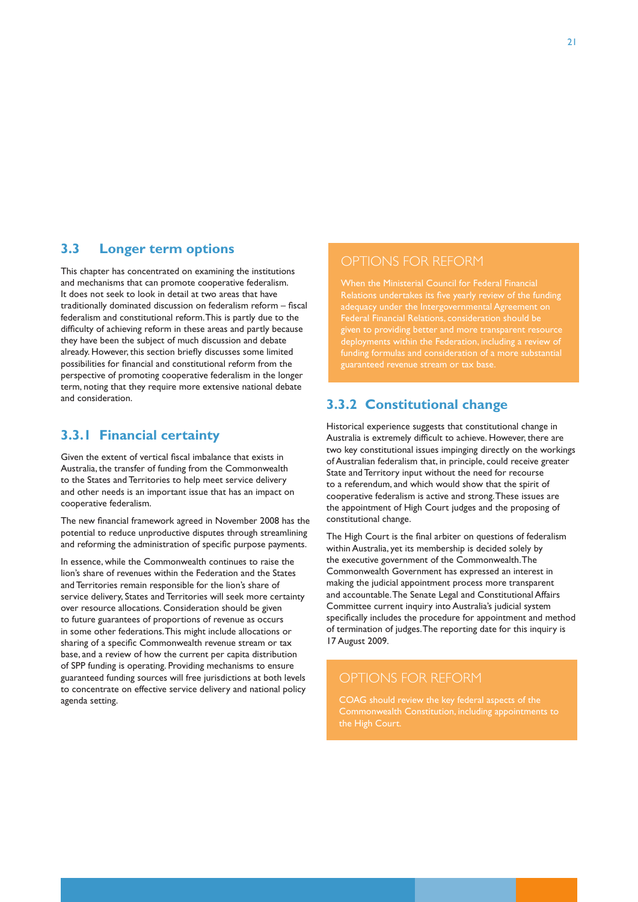#### **3.3 Longer term options**

This chapter has concentrated on examining the institutions and mechanisms that can promote cooperative federalism. It does not seek to look in detail at two areas that have traditionally dominated discussion on federalism reform – fiscal federalism and constitutional reform. This is partly due to the difficulty of achieving reform in these areas and partly because they have been the subject of much discussion and debate already. However, this section briefly discusses some limited possibilities for financial and constitutional reform from the perspective of promoting cooperative federalism in the longer term, noting that they require more extensive national debate and consideration.

#### **3.3.1 Financial certainty**

Given the extent of vertical fiscal imbalance that exists in Australia, the transfer of funding from the Commonwealth to the States and Territories to help meet service delivery and other needs is an important issue that has an impact on cooperative federalism.

The new financial framework agreed in November 2008 has the potential to reduce unproductive disputes through streamlining and reforming the administration of specific purpose payments.

In essence, while the Commonwealth continues to raise the lion's share of revenues within the Federation and the States and Territories remain responsible for the lion's share of service delivery, States and Territories will seek more certainty over resource allocations. Consideration should be given to future guarantees of proportions of revenue as occurs in some other federations. This might include allocations or sharing of a specific Commonwealth revenue stream or tax base, and a review of how the current per capita distribution of SPP funding is operating. Providing mechanisms to ensure guaranteed funding sources will free jurisdictions at both levels to concentrate on effective service delivery and national policy agenda setting.

#### OPTIONS FOR REFORM

given to providing better and more transparent resource  $\overline{\rm d}$  oloyments within the Federation, including a review of funding formulas and consideration of a more substantial guaranteed revenue stream or tax base.

### **3.3.2 Constitutional change**

Historical experience suggests that constitutional change in Australia is extremely difficult to achieve. However, there are two key constitutional issues impinging directly on the workings of Australian federalism that, in principle, could receive greater State and Territory input without the need for recourse to a referendum, and which would show that the spirit of cooperative federalism is active and strong. These issues are the appointment of High Court judges and the proposing of constitutional change.

The High Court is the final arbiter on questions of federalism within Australia, yet its membership is decided solely by the executive government of the Commonwealth. The Commonwealth Government has expressed an interest in making the judicial appointment process more transparent and accountable. The Senate Legal and Constitutional Affairs Committee current inquiry into Australia's judicial system specifically includes the procedure for appointment and method of termination of judges. The reporting date for this inquiry is 17 August 2009.

### OPTIONS FOR REFORM

COAG should review the key federal aspects of the Commonwealth Constitution, including appointments to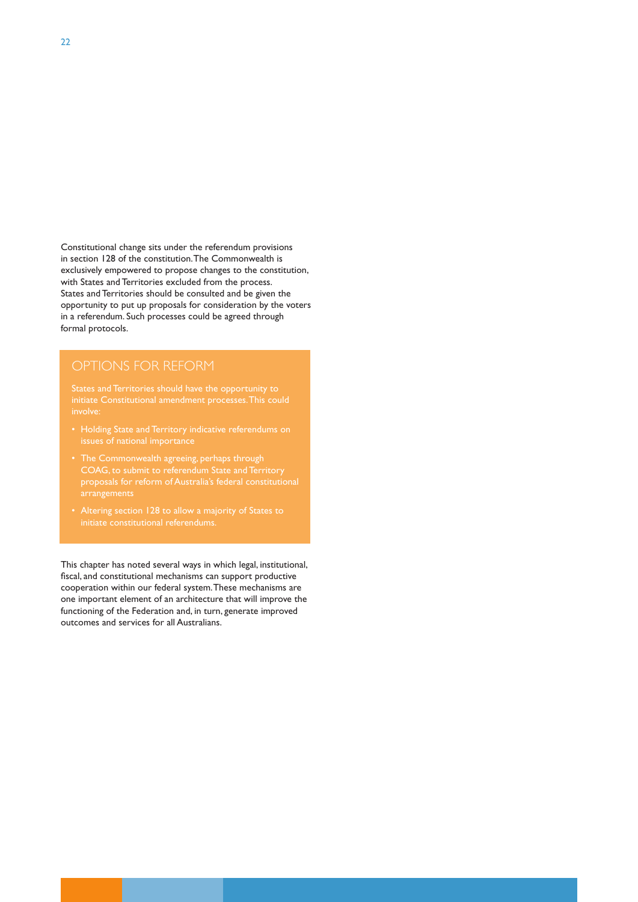Constitutional change sits under the referendum provisions in section 128 of the constitution. The Commonwealth is exclusively empowered to propose changes to the constitution, with States and Territories excluded from the process. States and Territories should be consulted and be given the opportunity to put up proposals for consideration by the voters in a referendum. Such processes could be agreed through formal protocols.

initiate Constitutional amendment processes. This could

- 
- 
- 

This chapter has noted several ways in which legal, institutional, fiscal, and constitutional mechanisms can support productive cooperation within our federal system. These mechanisms are one important element of an architecture that will improve the functioning of the Federation and, in turn, generate improved outcomes and services for all Australians.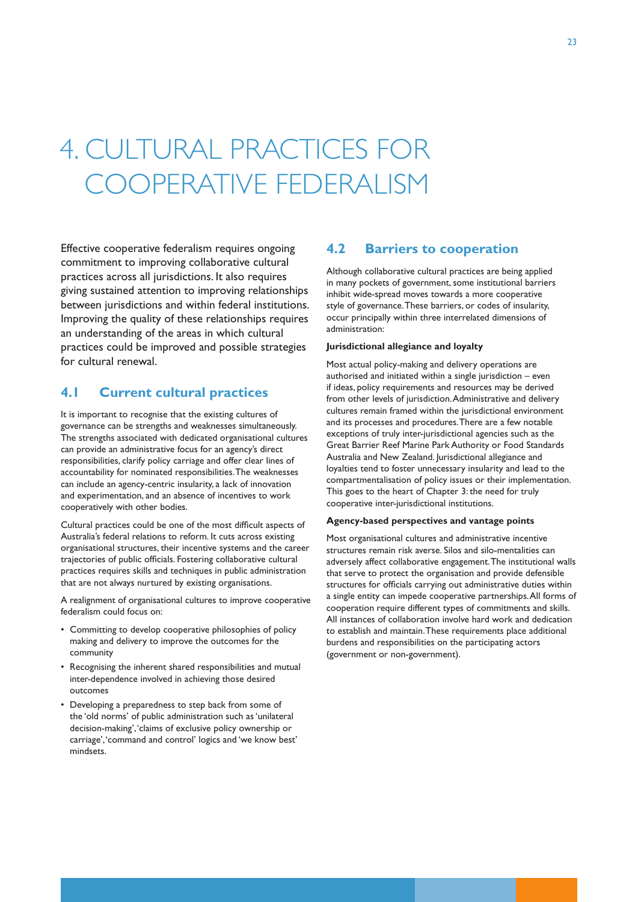# 4. CULTURAL PRACTICES FOR COOPERATIVE FEDERALISM

Effective cooperative federalism requires ongoing commitment to improving collaborative cultural practices across all jurisdictions. It also requires giving sustained attention to improving relationships between jurisdictions and within federal institutions. Improving the quality of these relationships requires an understanding of the areas in which cultural practices could be improved and possible strategies for cultural renewal.

### **4.1 Current cultural practices**

It is important to recognise that the existing cultures of governance can be strengths and weaknesses simultaneously. The strengths associated with dedicated organisational cultures can provide an administrative focus for an agency's direct responsibilities, clarify policy carriage and offer clear lines of accountability for nominated responsibilities. The weaknesses can include an agency-centric insularity, a lack of innovation and experimentation, and an absence of incentives to work cooperatively with other bodies.

Cultural practices could be one of the most difficult aspects of Australia's federal relations to reform. It cuts across existing organisational structures, their incentive systems and the career trajectories of public officials. Fostering collaborative cultural practices requires skills and techniques in public administration that are not always nurtured by existing organisations.

A realignment of organisational cultures to improve cooperative federalism could focus on:

- • Committing to develop cooperative philosophies of policy making and delivery to improve the outcomes for the community
- Recognising the inherent shared responsibilities and mutual inter-dependence involved in achieving those desired outcomes
- Developing a preparedness to step back from some of the 'old norms' of public administration such as 'unilateral decision-making', 'claims of exclusive policy ownership or carriage', 'command and control' logics and 'we know best' mindsets.

#### **4.2 Barriers to cooperation**

Although collaborative cultural practices are being applied in many pockets of government, some institutional barriers inhibit wide-spread moves towards a more cooperative style of governance. These barriers, or codes of insularity, occur principally within three interrelated dimensions of administration:

#### **Jurisdictional allegiance and loyalty**

Most actual policy-making and delivery operations are authorised and initiated within a single jurisdiction – even if ideas, policy requirements and resources may be derived from other levels of jurisdiction. Administrative and delivery cultures remain framed within the jurisdictional environment and its processes and procedures. There are a few notable exceptions of truly inter-jurisdictional agencies such as the Great Barrier Reef Marine Park Authority or Food Standards Australia and New Zealand. Jurisdictional allegiance and loyalties tend to foster unnecessary insularity and lead to the compartmentalisation of policy issues or their implementation. This goes to the heart of Chapter 3: the need for truly cooperative inter-jurisdictional institutions.

#### **Agency-based perspectives and vantage points**

Most organisational cultures and administrative incentive structures remain risk averse. Silos and silo-mentalities can adversely affect collaborative engagement. The institutional walls that serve to protect the organisation and provide defensible structures for officials carrying out administrative duties within a single entity can impede cooperative partnerships. All forms of cooperation require different types of commitments and skills. All instances of collaboration involve hard work and dedication to establish and maintain. These requirements place additional burdens and responsibilities on the participating actors (government or non-government).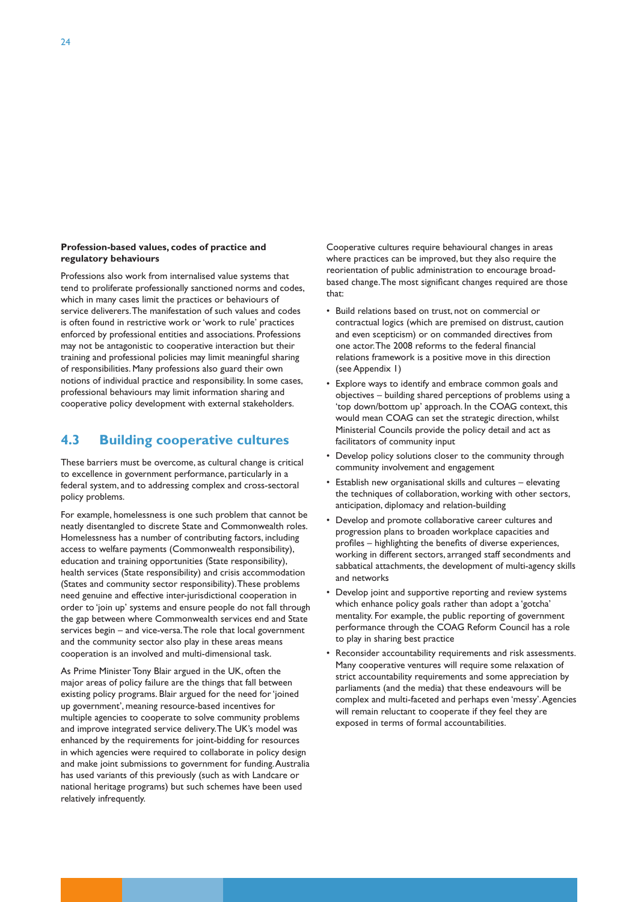#### **Profession-based values, codes of practice and regulatory behaviours**

Professions also work from internalised value systems that tend to proliferate professionally sanctioned norms and codes, which in many cases limit the practices or behaviours of service deliverers. The manifestation of such values and codes is often found in restrictive work or 'work to rule' practices enforced by professional entities and associations. Professions may not be antagonistic to cooperative interaction but their training and professional policies may limit meaningful sharing of responsibilities. Many professions also guard their own notions of individual practice and responsibility. In some cases, professional behaviours may limit information sharing and cooperative policy development with external stakeholders.

### **4.3 Building cooperative cultures**

These barriers must be overcome, as cultural change is critical to excellence in government performance, particularly in a federal system, and to addressing complex and cross-sectoral policy problems.

For example, homelessness is one such problem that cannot be neatly disentangled to discrete State and Commonwealth roles. Homelessness has a number of contributing factors, including access to welfare payments (Commonwealth responsibility), education and training opportunities (State responsibility), health services (State responsibility) and crisis accommodation (States and community sector responsibility). These problems need genuine and effective inter-jurisdictional cooperation in order to 'join up' systems and ensure people do not fall through the gap between where Commonwealth services end and State services begin – and vice-versa. The role that local government and the community sector also play in these areas means cooperation is an involved and multi-dimensional task.

As Prime Minister Tony Blair argued in the UK, often the major areas of policy failure are the things that fall between existing policy programs. Blair argued for the need for 'joined up government', meaning resource-based incentives for multiple agencies to cooperate to solve community problems and improve integrated service delivery. The UK's model was enhanced by the requirements for joint-bidding for resources in which agencies were required to collaborate in policy design and make joint submissions to government for funding. Australia has used variants of this previously (such as with Landcare or national heritage programs) but such schemes have been used relatively infrequently.

Cooperative cultures require behavioural changes in areas where practices can be improved, but they also require the reorientation of public administration to encourage broadbased change. The most significant changes required are those that:

- • Build relations based on trust, not on commercial or contractual logics (which are premised on distrust, caution and even scepticism) or on commanded directives from one actor. The 2008 reforms to the federal financial relations framework is a positive move in this direction (see Appendix 1)
- Explore ways to identify and embrace common goals and objectives – building shared perceptions of problems using a 'top down/bottom up' approach. In the COAG context, this would mean COAG can set the strategic direction, whilst Ministerial Councils provide the policy detail and act as facilitators of community input
- Develop policy solutions closer to the community through community involvement and engagement
- Establish new organisational skills and cultures elevating the techniques of collaboration, working with other sectors, anticipation, diplomacy and relation-building
- • Develop and promote collaborative career cultures and progression plans to broaden workplace capacities and profiles – highlighting the benefits of diverse experiences, working in different sectors, arranged staff secondments and sabbatical attachments, the development of multi-agency skills and networks
- Develop joint and supportive reporting and review systems which enhance policy goals rather than adopt a 'gotcha' mentality. For example, the public reporting of government performance through the COAG Reform Council has a role to play in sharing best practice
- Reconsider accountability requirements and risk assessments. Many cooperative ventures will require some relaxation of strict accountability requirements and some appreciation by parliaments (and the media) that these endeavours will be complex and multi-faceted and perhaps even 'messy'. Agencies will remain reluctant to cooperate if they feel they are exposed in terms of formal accountabilities.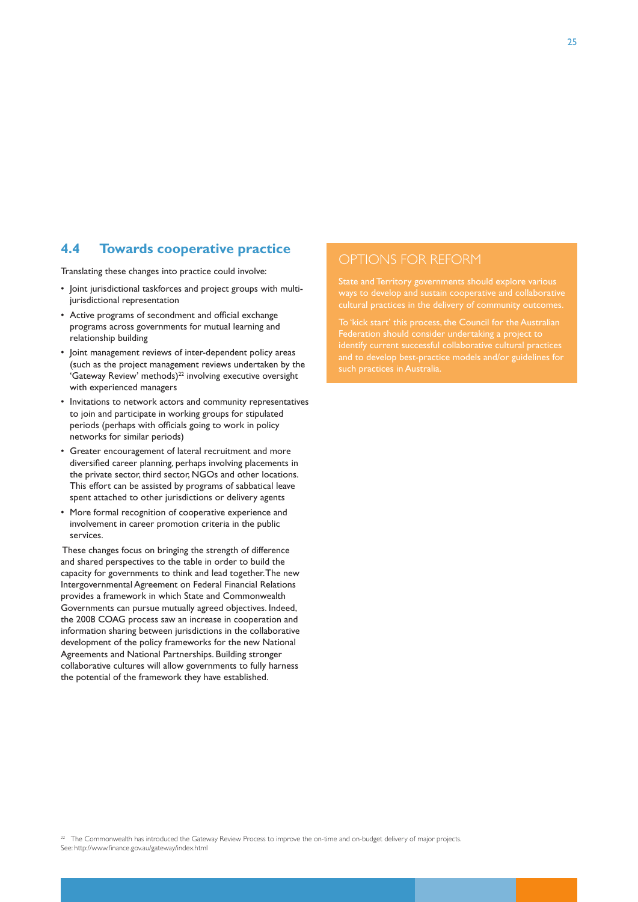#### **4.4 Towards cooperative practice**

Translating these changes into practice could involve:

- • Joint jurisdictional taskforces and project groups with multijurisdictional representation
- • Active programs of secondment and official exchange programs across governments for mutual learning and relationship building
- • Joint management reviews of inter-dependent policy areas (such as the project management reviews undertaken by the 'Gateway Review' methods)<sup>22</sup> involving executive oversight with experienced managers
- • Invitations to network actors and community representatives to join and participate in working groups for stipulated periods (perhaps with officials going to work in policy networks for similar periods)
- • Greater encouragement of lateral recruitment and more diversified career planning, perhaps involving placements in the private sector, third sector, NGOs and other locations. This effort can be assisted by programs of sabbatical leave spent attached to other jurisdictions or delivery agents
- More formal recognition of cooperative experience and involvement in career promotion criteria in the public services.

 These changes focus on bringing the strength of difference and shared perspectives to the table in order to build the capacity for governments to think and lead together. The new Intergovernmental Agreement on Federal Financial Relations provides a framework in which State and Commonwealth Governments can pursue mutually agreed objectives. Indeed, the 2008 COAG process saw an increase in cooperation and information sharing between jurisdictions in the collaborative development of the policy frameworks for the new National Agreements and National Partnerships. Building stronger collaborative cultures will allow governments to fully harness the potential of the framework they have established.

ways to develop and sustain cooperative and collaborative cultural practices in the delivery of community outcomes.

To 'kick start' this process, the Council for the Australian

<sup>22</sup> The Commonwealth has introduced the Gateway Review Process to improve the on-time and on-budget delivery of major projects. See: http://www.finance.gov.au/gateway/index.html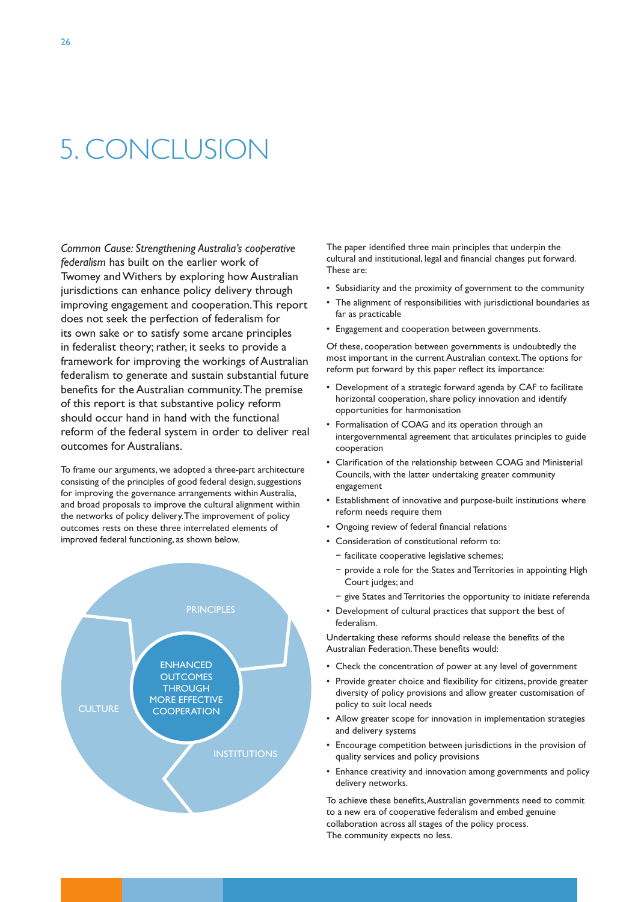# 5. CONCLUSION

*Common Cause: Strengthening Australia's cooperative federalism* has built on the earlier work of Twomey and Withers by exploring how Australian jurisdictions can enhance policy delivery through improving engagement and cooperation. This report does not seek the perfection of federalism for its own sake or to satisfy some arcane principles in federalist theory; rather, it seeks to provide a framework for improving the workings of Australian federalism to generate and sustain substantial future benefits for the Australian community. The premise of this report is that substantive policy reform should occur hand in hand with the functional reform of the federal system in order to deliver real outcomes for Australians.

To frame our arguments, we adopted a three-part architecture consisting of the principles of good federal design, suggestions for improving the governance arrangements within Australia, and broad proposals to improve the cultural alignment within the networks of policy delivery. The improvement of policy outcomes rests on these three interrelated elements of improved federal functioning, as shown below.



The paper identified three main principles that underpin the cultural and institutional, legal and financial changes put forward. These are:

- Subsidiarity and the proximity of government to the community
- The alignment of responsibilities with jurisdictional boundaries as far as practicable
- • Engagement and cooperation between governments.

Of these, cooperation between governments is undoubtedly the most important in the current Australian context. The options for reform put forward by this paper reflect its importance:

- Development of a strategic forward agenda by CAF to facilitate horizontal cooperation, share policy innovation and identify opportunities for harmonisation
- Formalisation of COAG and its operation through an intergovernmental agreement that articulates principles to guide cooperation
- Clarification of the relationship between COAG and Ministerial Councils, with the latter undertaking greater community engagement
- • Establishment of innovative and purpose-built institutions where reform needs require them
- • Ongoing review of federal financial relations
- • Consideration of constitutional reform to:
	- − facilitate cooperative legislative schemes;
	- − provide a role for the States and Territories in appointing High Court judges; and
	- − give States and Territories the opportunity to initiate referenda
- • Development of cultural practices that support the best of federalism.

Undertaking these reforms should release the benefits of the Australian Federation. These benefits would:

- Check the concentration of power at any level of government
- Provide greater choice and flexibility for citizens, provide greater diversity of policy provisions and allow greater customisation of policy to suit local needs
- Allow greater scope for innovation in implementation strategies and delivery systems
- Encourage competition between jurisdictions in the provision of quality services and policy provisions
- Enhance creativity and innovation among governments and policy delivery networks.

To achieve these benefits, Australian governments need to commit to a new era of cooperative federalism and embed genuine collaboration across all stages of the policy process. The community expects no less.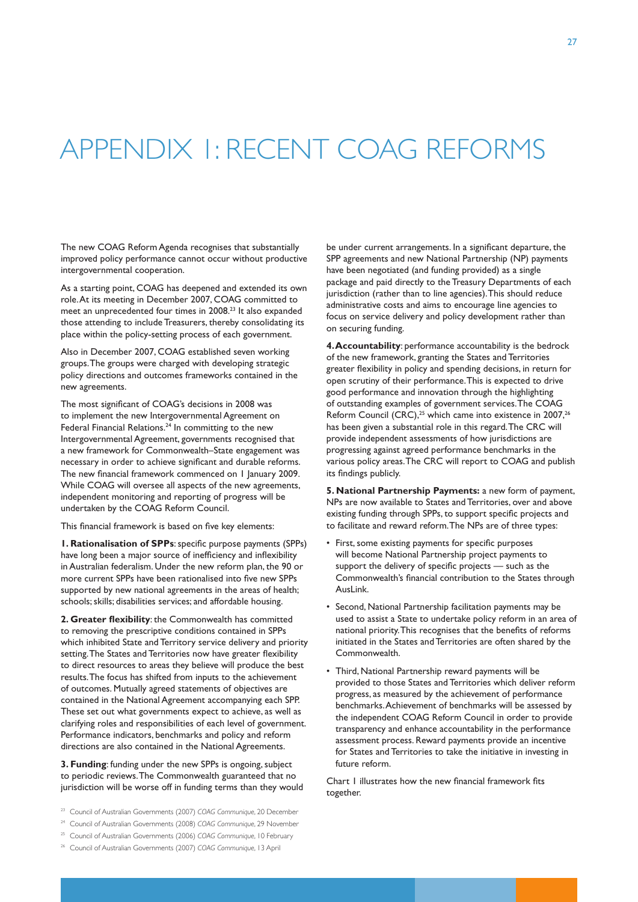# APPENDIX 1: RECENT COAG REFORMS

The new COAG Reform Agenda recognises that substantially improved policy performance cannot occur without productive intergovernmental cooperation.

As a starting point, COAG has deepened and extended its own role. At its meeting in December 2007, COAG committed to meet an unprecedented four times in 2008.23 It also expanded those attending to include Treasurers, thereby consolidating its place within the policy-setting process of each government.

Also in December 2007, COAG established seven working groups. The groups were charged with developing strategic policy directions and outcomes frameworks contained in the new agreements.

The most significant of COAG's decisions in 2008 was to implement the new Intergovernmental Agreement on Federal Financial Relations.<sup>24</sup> In committing to the new Intergovernmental Agreement, governments recognised that a new framework for Commonwealth–State engagement was necessary in order to achieve significant and durable reforms. The new financial framework commenced on 1 January 2009. While COAG will oversee all aspects of the new agreements, independent monitoring and reporting of progress will be undertaken by the COAG Reform Council.

This financial framework is based on five key elements:

**1. Rationalisation of SPPs**: specific purpose payments (SPPs) have long been a major source of inefficiency and inflexibility in Australian federalism. Under the new reform plan, the 90 or more current SPPs have been rationalised into five new SPPs supported by new national agreements in the areas of health; schools; skills; disabilities services; and affordable housing.

**2. Greater flexibility**: the Commonwealth has committed to removing the prescriptive conditions contained in SPPs which inhibited State and Territory service delivery and priority setting. The States and Territories now have greater flexibility to direct resources to areas they believe will produce the best results. The focus has shifted from inputs to the achievement of outcomes. Mutually agreed statements of objectives are contained in the National Agreement accompanying each SPP. These set out what governments expect to achieve, as well as clarifying roles and responsibilities of each level of government. Performance indicators, benchmarks and policy and reform directions are also contained in the National Agreements.

**3. Funding**: funding under the new SPPs is ongoing, subject to periodic reviews. The Commonwealth guaranteed that no jurisdiction will be worse off in funding terms than they would

- <sup>23</sup> Council of Australian Governments (2007) *COAG Communique*, 20 December
- <sup>24</sup> Council of Australian Governments (2008) *COAG Communique*, 29 November
- <sup>25</sup> Council of Australian Governments (2006) *COAG Communique*, 10 February
- <sup>26</sup> Council of Australian Governments (2007) *COAG Communique*, 13 April

be under current arrangements. In a significant departure, the SPP agreements and new National Partnership (NP) payments have been negotiated (and funding provided) as a single package and paid directly to the Treasury Departments of each jurisdiction (rather than to line agencies). This should reduce administrative costs and aims to encourage line agencies to focus on service delivery and policy development rather than on securing funding.

**4. Accountability**: performance accountability is the bedrock of the new framework, granting the States and Territories greater flexibility in policy and spending decisions, in return for open scrutiny of their performance. This is expected to drive good performance and innovation through the highlighting of outstanding examples of government services. The COAG Reform Council (CRC),<sup>25</sup> which came into existence in 2007,<sup>26</sup> has been given a substantial role in this regard. The CRC will provide independent assessments of how jurisdictions are progressing against agreed performance benchmarks in the various policy areas. The CRC will report to COAG and publish its findings publicly.

**5. National Partnership Payments:** a new form of payment, NPs are now available to States and Territories, over and above existing funding through SPPs, to support specific projects and to facilitate and reward reform. The NPs are of three types:

- First, some existing payments for specific purposes will become National Partnership project payments to support the delivery of specific projects — such as the Commonwealth's financial contribution to the States through AusLink.
- • Second, National Partnership facilitation payments may be used to assist a State to undertake policy reform in an area of national priority. This recognises that the benefits of reforms initiated in the States and Territories are often shared by the Commonwealth.
- Third, National Partnership reward payments will be provided to those States and Territories which deliver reform progress, as measured by the achievement of performance benchmarks. Achievement of benchmarks will be assessed by the independent COAG Reform Council in order to provide transparency and enhance accountability in the performance assessment process. Reward payments provide an incentive for States and Territories to take the initiative in investing in future reform.

Chart 1 illustrates how the new financial framework fits together.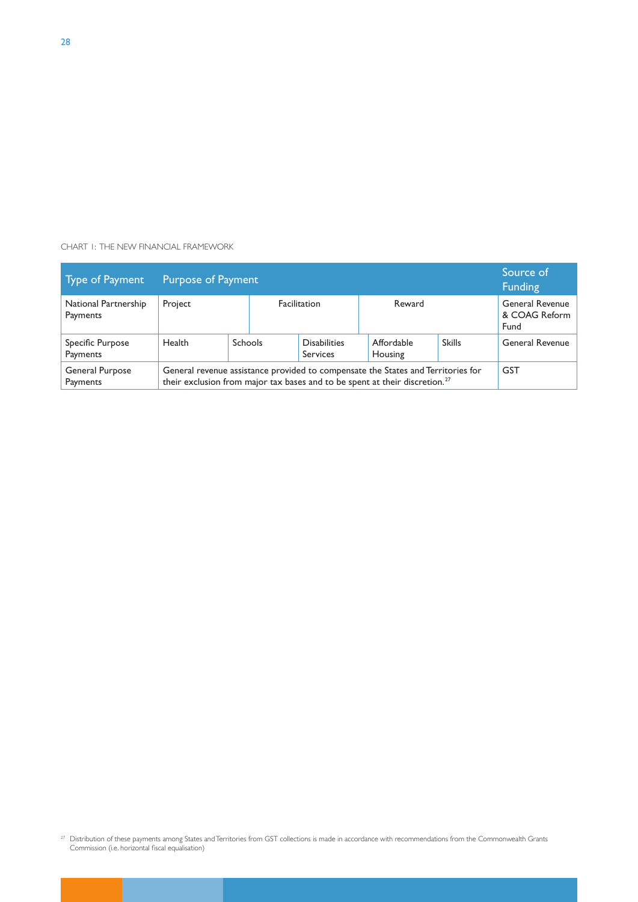#### CHART 1: THE NEW FINANCIAL FRAMEWORK

| Type of Payment                  | <b>Purpose of Payment</b>                                                                                                                                                   |         |  |                                        |                       |               | Source of<br><b>Funding</b>                     |
|----------------------------------|-----------------------------------------------------------------------------------------------------------------------------------------------------------------------------|---------|--|----------------------------------------|-----------------------|---------------|-------------------------------------------------|
| National Partnership<br>Payments | Project                                                                                                                                                                     |         |  | Reward<br>Facilitation                 |                       |               | <b>General Revenue</b><br>& COAG Reform<br>Fund |
| Specific Purpose<br>Payments     | <b>Health</b>                                                                                                                                                               | Schools |  | <b>Disabilities</b><br><b>Services</b> | Affordable<br>Housing | <b>Skills</b> | General Revenue                                 |
| General Purpose<br>Payments      | General revenue assistance provided to compensate the States and Territories for<br>their exclusion from major tax bases and to be spent at their discretion. <sup>27</sup> |         |  |                                        |                       | <b>GST</b>    |                                                 |

 $^{27}$  Distribution of these payments among States and Territories from GST collections is made in accordance with recommendations from the Commonwealth Grants Commission (i.e. horizontal fiscal equalisation)